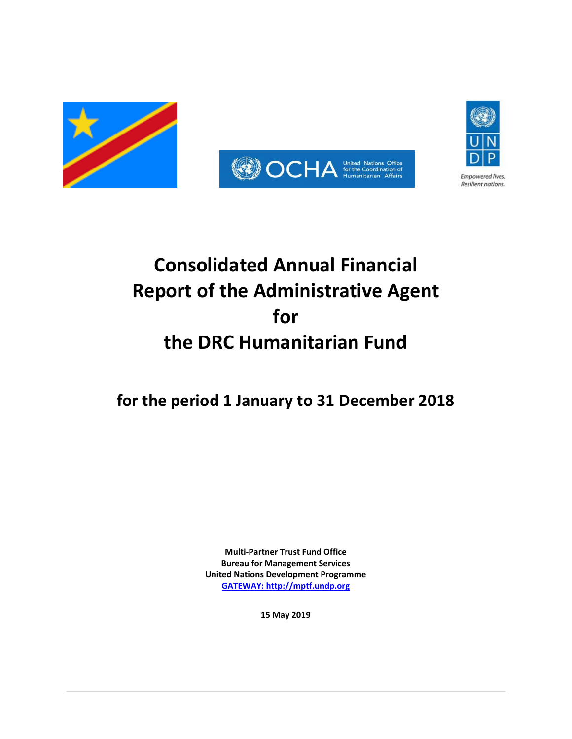



# **Consolidated Annual Financial Report of the Administrative Agent for the DRC Humanitarian Fund**

# **for the period 1 January to 31 December 2018**

**Multi-Partner Trust Fund Office Bureau for Management Services United Nations Development Programme [GATEWAY: http://mptf.undp.org](http://mptf.undp.org/)**

**15 May 2019**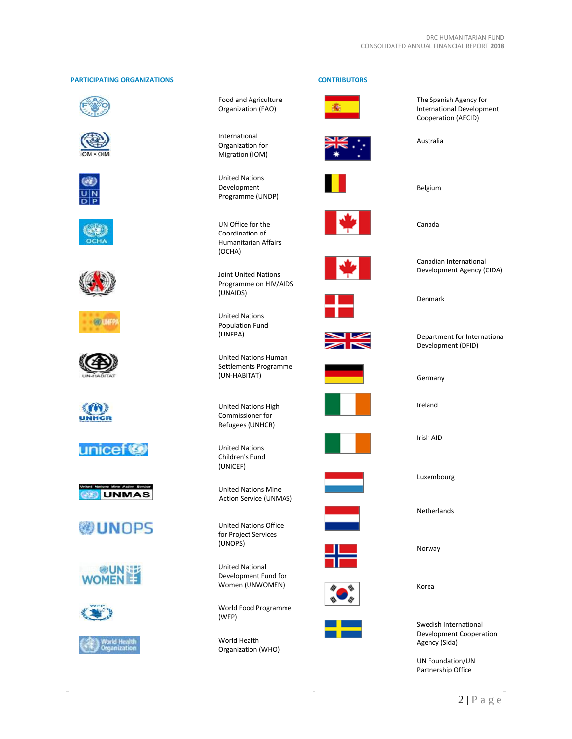# **PARTICIPATING ORGANIZATIONS CONTRIBUTORS**





























Food and Agriculture Organization (FAO)

International Organization for Migration (IOM)

United Nations Development Programme (UNDP)



Joint United Nations Programme on HIV/AIDS (UNAIDS)

United Nations Population Fund (UNFPA)

United Nations Human Settlements Programme (UN-HABITAT)

United Nations High Commissioner for Refugees (UNHCR)

United Nations Children's Fund (UNICEF)

United Nations Mine Action Service (UNMAS)

United Nations Office for Project Services (UNOPS)

United National Development Fund for Women (UNWOMEN)

World Food Programme (WFP)

World Health Organization (WHO)









The Spanish Agency for International Development Cooperation (AECID)

Australia

Belgium

Canada

Canadian International Development Agency (CIDA)

Denmark

Department for International Development (DFID)

Germany

Ireland

Irish AID

Luxembourg

Netherlands

Norway

Korea

Swedish International Development Cooperation Agency (Sida)

UN Foundation/UN Partnership Office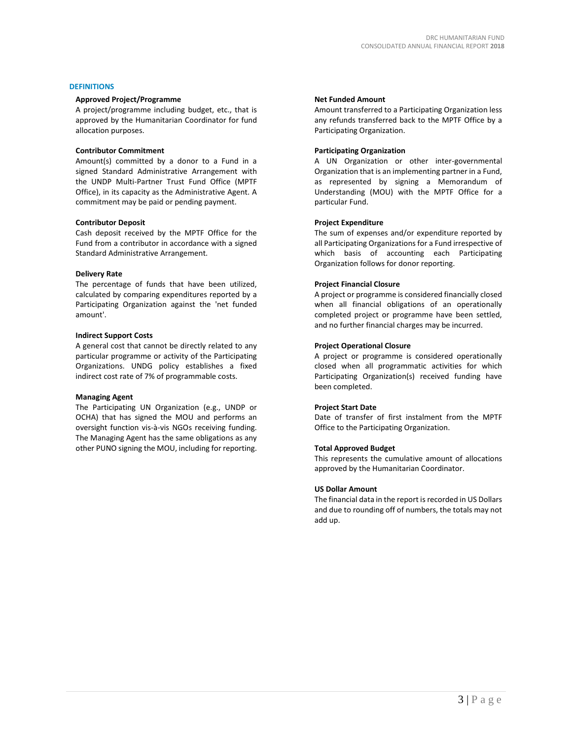# **DEFINITIONS**

# **Approved Project/Programme**

A project/programme including budget, etc., that is approved by the Humanitarian Coordinator for fund allocation purposes.

# **Contributor Commitment**

Amount(s) committed by a donor to a Fund in a signed Standard Administrative Arrangement with the UNDP Multi-Partner Trust Fund Office (MPTF Office), in its capacity as the Administrative Agent. A commitment may be paid or pending payment.

# **Contributor Deposit**

Cash deposit received by the MPTF Office for the Fund from a contributor in accordance with a signed Standard Administrative Arrangement.

# **Delivery Rate**

The percentage of funds that have been utilized, calculated by comparing expenditures reported by a Participating Organization against the 'net funded amount'.

# **Indirect Support Costs**

A general cost that cannot be directly related to any particular programme or activity of the Participating Organizations. UNDG policy establishes a fixed indirect cost rate of 7% of programmable costs.

# **Managing Agent**

The Participating UN Organization (e.g., UNDP or OCHA) that has signed the MOU and performs an oversight function vis-à-vis NGOs receiving funding. The Managing Agent has the same obligations as any other PUNO signing the MOU, including for reporting.

# **Net Funded Amount**

Amount transferred to a Participating Organization less any refunds transferred back to the MPTF Office by a Participating Organization.

# **Participating Organization**

A UN Organization or other inter-governmental Organization that is an implementing partner in a Fund, as represented by signing a Memorandum of Understanding (MOU) with the MPTF Office for a particular Fund.

# **Project Expenditure**

The sum of expenses and/or expenditure reported by all Participating Organizations for a Fund irrespective of which basis of accounting each Participating Organization follows for donor reporting.

# **Project Financial Closure**

A project or programme is considered financially closed when all financial obligations of an operationally completed project or programme have been settled, and no further financial charges may be incurred.

# **Project Operational Closure**

A project or programme is considered operationally closed when all programmatic activities for which Participating Organization(s) received funding have been completed.

# **Project Start Date**

Date of transfer of first instalment from the MPTF Office to the Participating Organization.

# **Total Approved Budget**

This represents the cumulative amount of allocations approved by the Humanitarian Coordinator.

# **US Dollar Amount**

The financial data in the report is recorded in US Dollars and due to rounding off of numbers, the totals may not add up.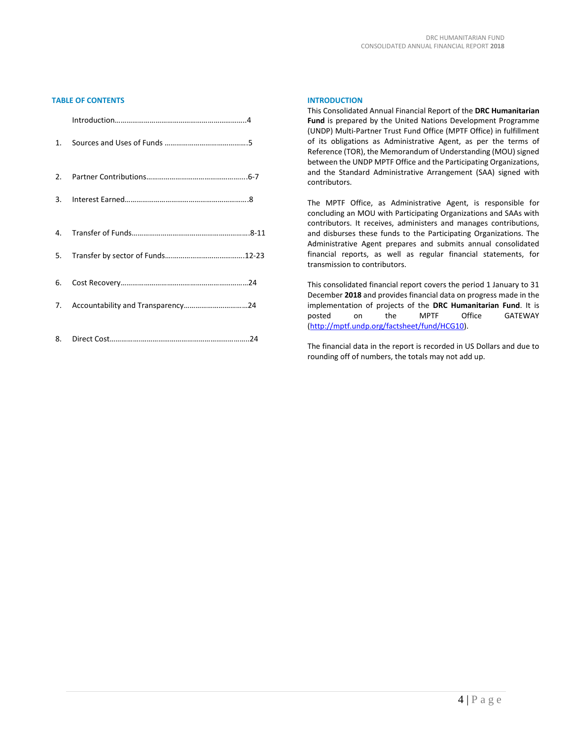# **TABLE OF CONTENTS**

# **INTRODUCTION**

This Consolidated Annual Financial Report of the **DRC Humanitarian Fund** is prepared by the United Nations Development Programme (UNDP) Multi-Partner Trust Fund Office (MPTF Office) in fulfillment of its obligations as Administrative Agent, as per the terms of Reference (TOR), the Memorandum of Understanding (MOU) signed between the UNDP MPTF Office and the Participating Organizations, and the Standard Administrative Arrangement (SAA) signed with contributors.

The MPTF Office, as Administrative Agent, is responsible for concluding an MOU with Participating Organizations and SAAs with contributors. It receives, administers and manages contributions, and disburses these funds to the Participating Organizations. The Administrative Agent prepares and submits annual consolidated financial reports, as well as regular financial statements, for transmission to contributors.

This consolidated financial report covers the period 1 January to 31 December **2018** and provides financial data on progress made in the implementation of projects of the **DRC Humanitarian Fund**. It is posted on the MPTF Office GATEWAY [\(http://mptf.undp.org/factsheet/fund/HCG10\)](http://mptf.undp.org/factsheet/fund/HCG10).

The financial data in the report is recorded in US Dollars and due to rounding off of numbers, the totals may not add up.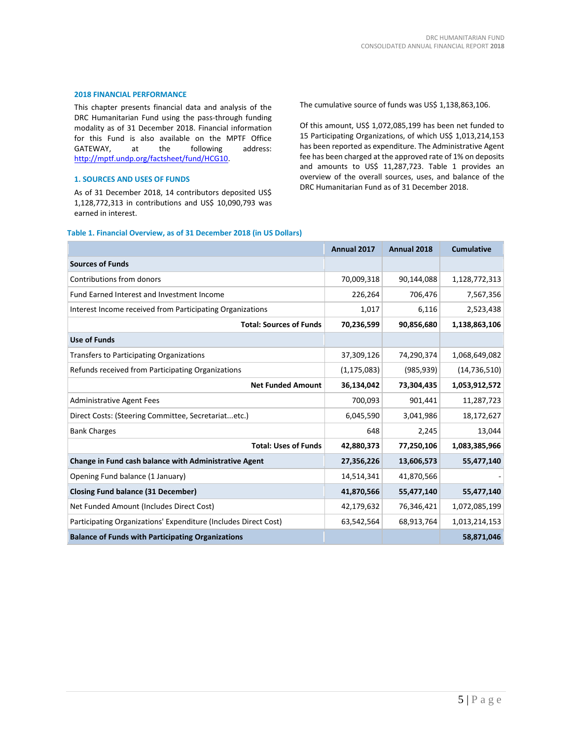# **2018 FINANCIAL PERFORMANCE**

This chapter presents financial data and analysis of the DRC Humanitarian Fund using the pass-through funding modality as of 31 December 2018. Financial information for this Fund is also available on the MPTF Office<br>GATEWAY. at the following address: GATEWAY, at the [http://mptf.undp.org/factsheet/fund/HCG10.](http://mptf.undp.org/factsheet/fund/HCG10) 

#### **1. SOURCES AND USES OF FUNDS**

As of 31 December 2018, 14 contributors deposited US\$ 1,128,772,313 in contributions and US\$ 10,090,793 was earned in interest.

The cumulative source of funds was US\$ 1,138,863,106.

Of this amount, US\$ 1,072,085,199 has been net funded to 15 Participating Organizations, of which US\$ 1,013,214,153 has been reported as expenditure. The Administrative Agent fee has been charged at the approved rate of 1% on deposits and amounts to US\$ 11,287,723. Table 1 provides an overview of the overall sources, uses, and balance of the DRC Humanitarian Fund as of 31 December 2018.

|                                                                 | Annual 2017   | Annual 2018 | <b>Cumulative</b> |
|-----------------------------------------------------------------|---------------|-------------|-------------------|
| <b>Sources of Funds</b>                                         |               |             |                   |
| Contributions from donors                                       | 70,009,318    | 90,144,088  | 1,128,772,313     |
| <b>Fund Earned Interest and Investment Income</b>               | 226,264       | 706,476     | 7,567,356         |
| Interest Income received from Participating Organizations       | 1,017         | 6,116       | 2,523,438         |
| <b>Total: Sources of Funds</b>                                  | 70,236,599    | 90,856,680  | 1,138,863,106     |
| <b>Use of Funds</b>                                             |               |             |                   |
| <b>Transfers to Participating Organizations</b>                 | 37,309,126    | 74,290,374  | 1,068,649,082     |
| Refunds received from Participating Organizations               | (1, 175, 083) | (985, 939)  | (14, 736, 510)    |
| <b>Net Funded Amount</b>                                        | 36,134,042    | 73,304,435  | 1,053,912,572     |
| <b>Administrative Agent Fees</b>                                | 700,093       | 901,441     | 11,287,723        |
| Direct Costs: (Steering Committee, Secretariatetc.)             | 6,045,590     | 3,041,986   | 18,172,627        |
| <b>Bank Charges</b>                                             | 648           | 2,245       | 13,044            |
| <b>Total: Uses of Funds</b>                                     | 42,880,373    | 77,250,106  | 1,083,385,966     |
| Change in Fund cash balance with Administrative Agent           | 27,356,226    | 13,606,573  | 55,477,140        |
| Opening Fund balance (1 January)                                | 14,514,341    | 41,870,566  |                   |
| Closing Fund balance (31 December)                              | 41,870,566    | 55,477,140  | 55,477,140        |
| Net Funded Amount (Includes Direct Cost)                        | 42,179,632    | 76,346,421  | 1,072,085,199     |
| Participating Organizations' Expenditure (Includes Direct Cost) | 63,542,564    | 68,913,764  | 1,013,214,153     |
| <b>Balance of Funds with Participating Organizations</b>        |               |             | 58,871,046        |

#### **Table 1. Financial Overview, as of 31 December 2018 (in US Dollars)**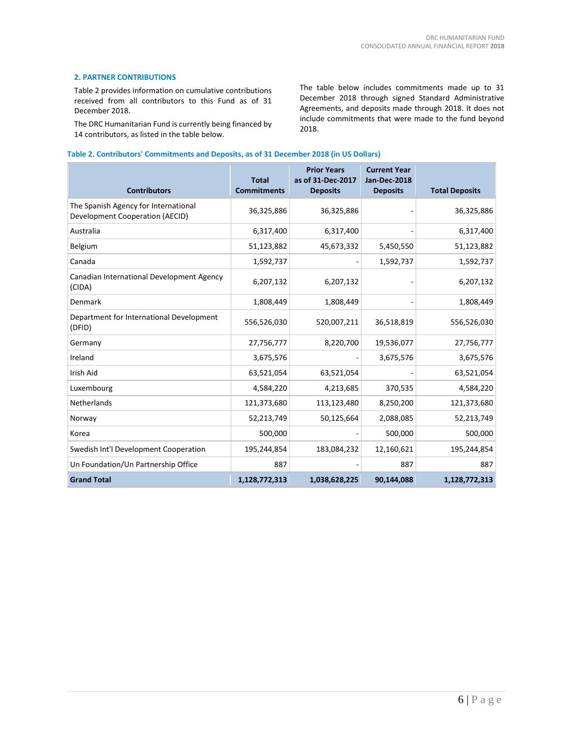# **2. PARTNER CONTRIBUTIONS**

Table 2 provides information on cumulative contributions received from all contributors to this Fund as of 31 December 2018.

The DRC Humanitarian Fund is currently being financed by 14 contributors, as listed in the table below.

The table below includes commitments made up to 31 December 2018 through signed Standard Administrative Agreements, and deposits made through 2018. It does not include commitments that were made to the fund beyond 2018.

# **Table 2. Contributors' Commitments and Deposits, as of 31 December 2018 (in US Dollars)**

| <b>Contributors</b>                                                     | <b>Total</b><br><b>Commitments</b> | <b>Prior Years</b><br>as of 31-Dec-2017<br><b>Deposits</b> | <b>Current Year</b><br>Jan-Dec-2018<br><b>Deposits</b> | <b>Total Deposits</b> |
|-------------------------------------------------------------------------|------------------------------------|------------------------------------------------------------|--------------------------------------------------------|-----------------------|
| The Spanish Agency for International<br>Development Cooperation (AECID) | 36,325,886                         | 36,325,886                                                 |                                                        | 36,325,886            |
| Australia                                                               | 6,317,400                          | 6,317,400                                                  |                                                        | 6,317,400             |
| Belgium                                                                 | 51,123,882                         | 45,673,332                                                 | 5,450,550                                              | 51,123,882            |
| Canada                                                                  | 1,592,737                          |                                                            | 1,592,737                                              | 1,592,737             |
| Canadian International Development Agency<br>(CIDA)                     | 6,207,132                          | 6,207,132                                                  |                                                        | 6,207,132             |
| Denmark                                                                 | 1,808,449                          | 1,808,449                                                  |                                                        | 1,808,449             |
| Department for International Development<br>(DFID)                      | 556,526,030                        | 520,007,211                                                | 36,518,819                                             | 556,526,030           |
| Germany                                                                 | 27,756,777                         | 8,220,700                                                  | 19,536,077                                             | 27,756,777            |
| Ireland                                                                 | 3,675,576                          |                                                            | 3,675,576                                              | 3,675,576             |
| <b>Irish Aid</b>                                                        | 63,521,054                         | 63,521,054                                                 |                                                        | 63,521,054            |
| Luxembourg                                                              | 4,584,220                          | 4,213,685                                                  | 370,535                                                | 4,584,220             |
| Netherlands                                                             | 121,373,680                        | 113,123,480                                                | 8,250,200                                              | 121,373,680           |
| Norway                                                                  | 52,213,749                         | 50,125,664                                                 | 2,088,085                                              | 52,213,749            |
| Korea                                                                   | 500,000                            |                                                            | 500,000                                                | 500,000               |
| Swedish Int'l Development Cooperation                                   | 195,244,854                        | 183,084,232                                                | 12,160,621                                             | 195,244,854           |
| Un Foundation/Un Partnership Office                                     | 887                                |                                                            | 887                                                    | 887                   |
| <b>Grand Total</b>                                                      | 1,128,772,313                      | 1,038,628,225                                              | 90,144,088                                             | 1,128,772,313         |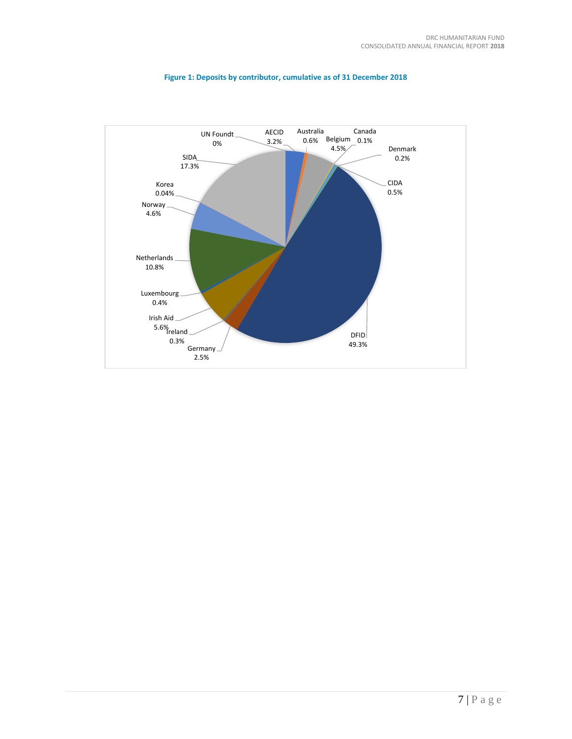

# **Figure 1: Deposits by contributor, cumulative as of 31 December 2018**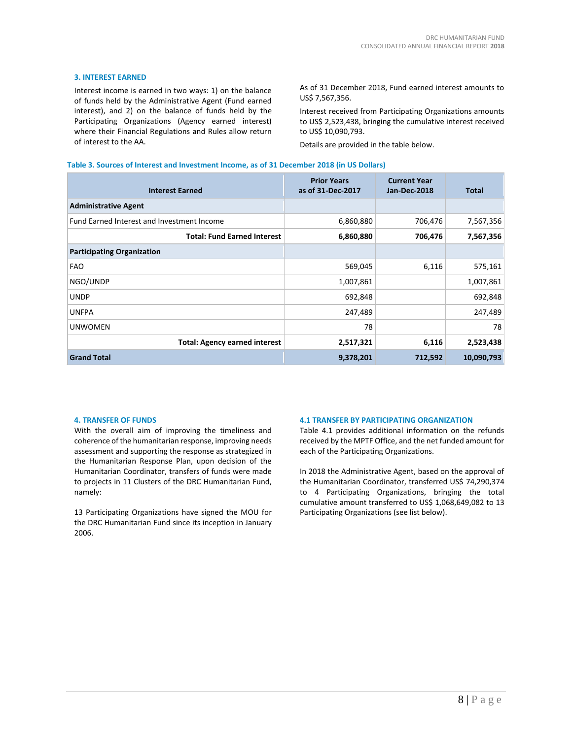# **3. INTEREST EARNED**

Interest income is earned in two ways: 1) on the balance of funds held by the Administrative Agent (Fund earned interest), and 2) on the balance of funds held by the Participating Organizations (Agency earned interest) where their Financial Regulations and Rules allow return of interest to the AA.

As of 31 December 2018, Fund earned interest amounts to US\$ 7,567,356.

Interest received from Participating Organizations amounts to US\$ 2,523,438, bringing the cumulative interest received to US\$ 10,090,793.

Details are provided in the table below.

#### **Table 3. Sources of Interest and Investment Income, as of 31 December 2018 (in US Dollars)**

| <b>Interest Earned</b>                     | <b>Prior Years</b><br>as of 31-Dec-2017 | <b>Current Year</b><br><b>Jan-Dec-2018</b> | <b>Total</b> |
|--------------------------------------------|-----------------------------------------|--------------------------------------------|--------------|
| <b>Administrative Agent</b>                |                                         |                                            |              |
| Fund Earned Interest and Investment Income | 6,860,880                               | 706,476                                    | 7,567,356    |
| <b>Total: Fund Earned Interest</b>         | 6,860,880                               | 706,476                                    | 7,567,356    |
| <b>Participating Organization</b>          |                                         |                                            |              |
| <b>FAO</b>                                 | 569,045                                 | 6,116                                      | 575,161      |
| NGO/UNDP                                   | 1,007,861                               |                                            | 1,007,861    |
| <b>UNDP</b>                                | 692,848                                 |                                            | 692,848      |
| <b>UNFPA</b>                               | 247,489                                 |                                            | 247,489      |
| <b>UNWOMEN</b>                             | 78                                      |                                            | 78           |
| <b>Total: Agency earned interest</b>       | 2,517,321                               | 6,116                                      | 2,523,438    |
| <b>Grand Total</b>                         | 9,378,201                               | 712,592                                    | 10,090,793   |

#### **4. TRANSFER OF FUNDS**

With the overall aim of improving the timeliness and coherence of the humanitarian response, improving needs assessment and supporting the response as strategized in the Humanitarian Response Plan, upon decision of the Humanitarian Coordinator, transfers of funds were made to projects in 11 Clusters of the DRC Humanitarian Fund, namely:

13 Participating Organizations have signed the MOU for the DRC Humanitarian Fund since its inception in January 2006.

#### **4.1 TRANSFER BY PARTICIPATING ORGANIZATION**

Table 4.1 provides additional information on the refunds received by the MPTF Office, and the net funded amount for each of the Participating Organizations.

In 2018 the Administrative Agent, based on the approval of the Humanitarian Coordinator, transferred US\$ 74,290,374 to 4 Participating Organizations, bringing the total cumulative amount transferred to US\$ 1,068,649,082 to 13 Participating Organizations (see list below).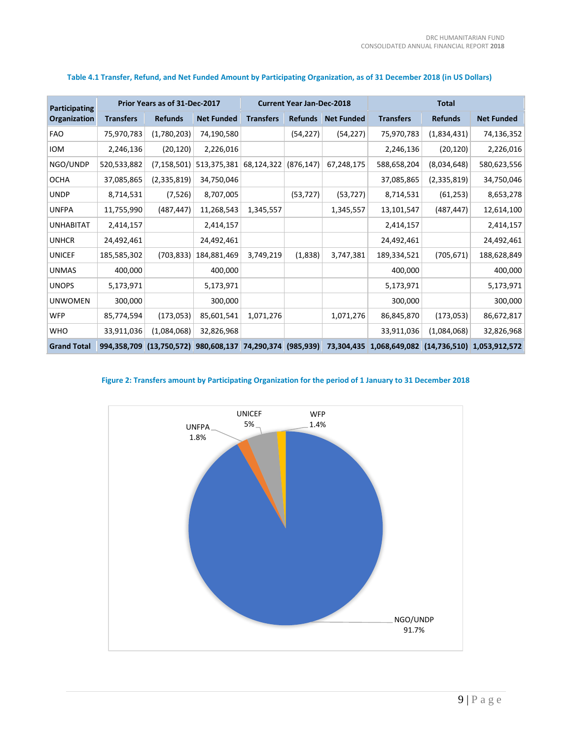| Participating      | Prior Years as of 31-Dec-2017 |                | <b>Current Year Jan-Dec-2018</b>                |                  |                | <b>Total</b>      |                                                     |                |                   |
|--------------------|-------------------------------|----------------|-------------------------------------------------|------------------|----------------|-------------------|-----------------------------------------------------|----------------|-------------------|
| Organization       | <b>Transfers</b>              | <b>Refunds</b> | <b>Net Funded</b>                               | <b>Transfers</b> | <b>Refunds</b> | <b>Net Funded</b> | <b>Transfers</b>                                    | <b>Refunds</b> | <b>Net Funded</b> |
| <b>FAO</b>         | 75,970,783                    | (1,780,203)    | 74,190,580                                      |                  | (54, 227)      | (54, 227)         | 75,970,783                                          | (1,834,431)    | 74,136,352        |
| <b>IOM</b>         | 2,246,136                     | (20, 120)      | 2,226,016                                       |                  |                |                   | 2,246,136                                           | (20, 120)      | 2,226,016         |
| NGO/UNDP           | 520,533,882                   | (7, 158, 501)  | 513,375,381                                     | 68,124,322       | (876, 147)     | 67,248,175        | 588,658,204                                         | (8,034,648)    | 580,623,556       |
| <b>OCHA</b>        | 37,085,865                    | (2,335,819)    | 34,750,046                                      |                  |                |                   | 37,085,865                                          | (2,335,819)    | 34,750,046        |
| <b>UNDP</b>        | 8,714,531                     | (7, 526)       | 8,707,005                                       |                  | (53, 727)      | (53, 727)         | 8,714,531                                           | (61, 253)      | 8,653,278         |
| <b>UNFPA</b>       | 11,755,990                    | (487, 447)     | 11,268,543                                      | 1,345,557        |                | 1,345,557         | 13,101,547                                          | (487, 447)     | 12,614,100        |
| <b>UNHABITAT</b>   | 2,414,157                     |                | 2,414,157                                       |                  |                |                   | 2,414,157                                           |                | 2,414,157         |
| <b>UNHCR</b>       | 24,492,461                    |                | 24,492,461                                      |                  |                |                   | 24,492,461                                          |                | 24,492,461        |
| <b>UNICEF</b>      | 185,585,302                   | (703, 833)     | 184,881,469                                     | 3,749,219        | (1,838)        | 3,747,381         | 189,334,521                                         | (705, 671)     | 188,628,849       |
| <b>UNMAS</b>       | 400,000                       |                | 400,000                                         |                  |                |                   | 400,000                                             |                | 400,000           |
| <b>UNOPS</b>       | 5,173,971                     |                | 5,173,971                                       |                  |                |                   | 5,173,971                                           |                | 5,173,971         |
| <b>UNWOMEN</b>     | 300,000                       |                | 300,000                                         |                  |                |                   | 300,000                                             |                | 300,000           |
| <b>WFP</b>         | 85,774,594                    | (173,053)      | 85,601,541                                      | 1,071,276        |                | 1,071,276         | 86,845,870                                          | (173,053)      | 86,672,817        |
| <b>WHO</b>         | 33,911,036                    | (1,084,068)    | 32,826,968                                      |                  |                |                   | 33,911,036                                          | (1,084,068)    | 32,826,968        |
| <b>Grand Total</b> | 994,358,709                   |                | $(13,750,572)$ 980,608,137 74,290,374 (985,939) |                  |                |                   | 73,304,435 1,068,649,082 (14,736,510) 1,053,912,572 |                |                   |

# **Table 4.1 Transfer, Refund, and Net Funded Amount by Participating Organization, as of 31 December 2018 (in US Dollars)**

# **Figure 2: Transfers amount by Participating Organization for the period of 1 January to 31 December 2018**

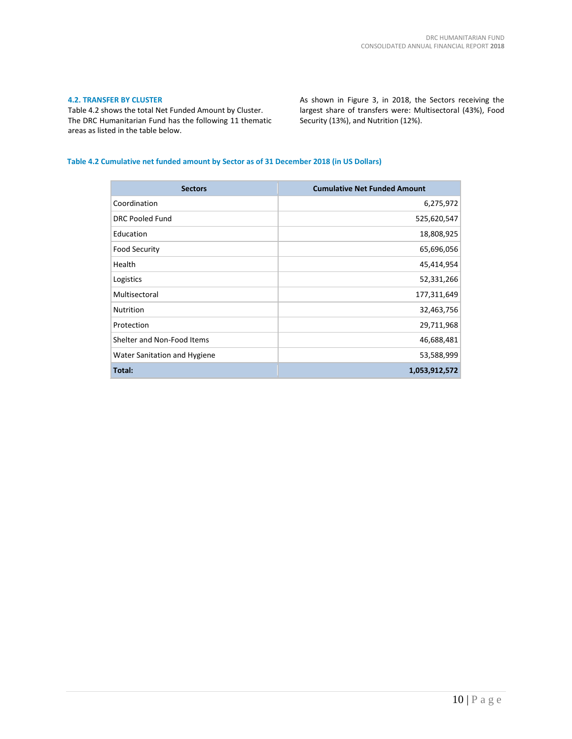# **4.2. TRANSFER BY CLUSTER**

Table 4.2 shows the total Net Funded Amount by Cluster. The DRC Humanitarian Fund has the following 11 thematic areas as listed in the table below.

As shown in Figure 3, in 2018, the Sectors receiving the largest share of transfers were: Multisectoral (43%), Food Security (13%), and Nutrition (12%).

# **Table 4.2 Cumulative net funded amount by Sector as of 31 December 2018 (in US Dollars)**

| <b>Sectors</b>               | <b>Cumulative Net Funded Amount</b> |
|------------------------------|-------------------------------------|
| Coordination                 | 6,275,972                           |
| <b>DRC Pooled Fund</b>       | 525,620,547                         |
| Education                    | 18,808,925                          |
| <b>Food Security</b>         | 65,696,056                          |
| Health                       | 45,414,954                          |
| Logistics                    | 52,331,266                          |
| Multisectoral                | 177,311,649                         |
| <b>Nutrition</b>             | 32,463,756                          |
| Protection                   | 29,711,968                          |
| Shelter and Non-Food Items   | 46,688,481                          |
| Water Sanitation and Hygiene | 53,588,999                          |
| Total:                       | 1,053,912,572                       |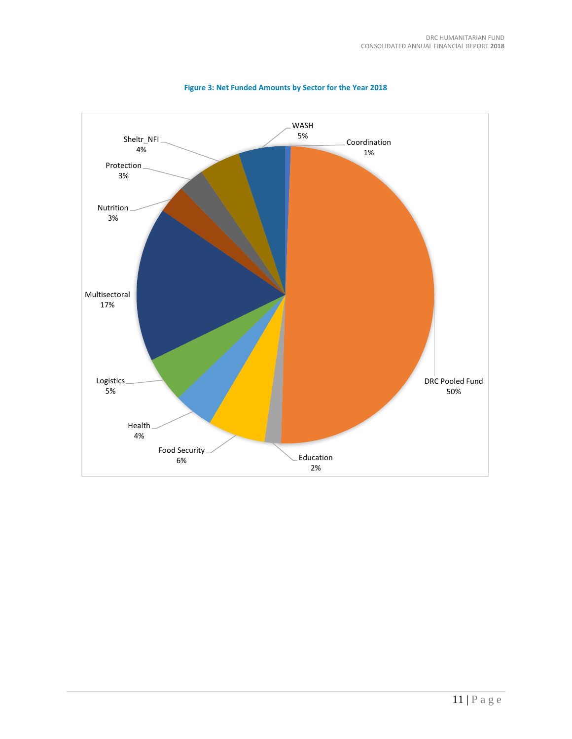

**Figure 3: Net Funded Amounts by Sector for the Year 2018**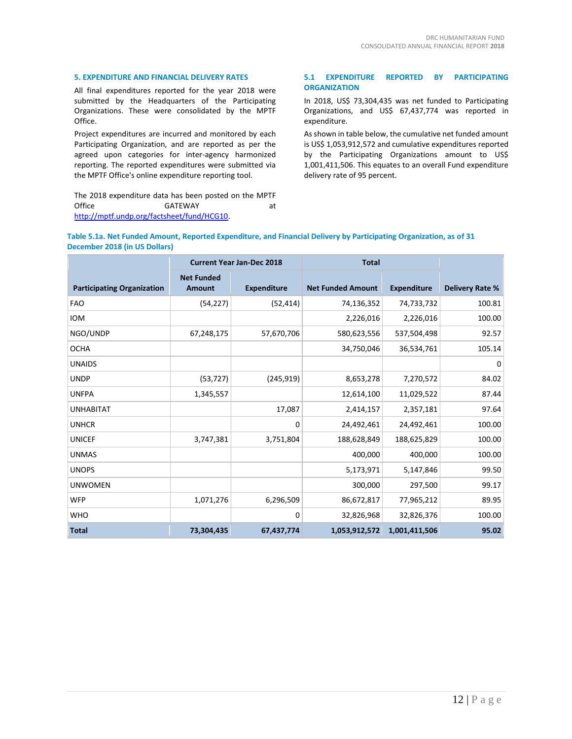# **5. EXPENDITURE AND FINANCIAL DELIVERY RATES**

All final expenditures reported for the year 2018 were submitted by the Headquarters of the Participating Organizations. These were consolidated by the MPTF Office.

Project expenditures are incurred and monitored by each Participating Organization, and are reported as per the agreed upon categories for inter-agency harmonized reporting. The reported expenditures were submitted via the MPTF Office's online expenditure reporting tool.

The 2018 expenditure data has been posted on the MPTF<br>Office 6ATEWAY GATEWAY at [http://mptf.undp.org/factsheet/fund/HCG10.](http://mptf.undp.org/factsheet/fund/HCG10) 

# **5.1 EXPENDITURE REPORTED BY PARTICIPATING ORGANIZATION**

In 2018, US\$ 73,304,435 was net funded to Participating Organizations, and US\$ 67,437,774 was reported in expenditure.

As shown in table below, the cumulative net funded amount is US\$ 1,053,912,572 and cumulative expenditures reported by the Participating Organizations amount to US\$ 1,001,411,506. This equates to an overall Fund expenditure delivery rate of 95 percent.

| Table 5.1a. Net Funded Amount, Reported Expenditure, and Financial Delivery by Participating Organization, as of 31 |  |
|---------------------------------------------------------------------------------------------------------------------|--|
| December 2018 (in US Dollars)                                                                                       |  |

|                                   | <b>Total</b><br><b>Current Year Jan-Dec 2018</b> |                    |                          |                    |                        |
|-----------------------------------|--------------------------------------------------|--------------------|--------------------------|--------------------|------------------------|
| <b>Participating Organization</b> | <b>Net Funded</b><br><b>Amount</b>               | <b>Expenditure</b> | <b>Net Funded Amount</b> | <b>Expenditure</b> | <b>Delivery Rate %</b> |
| <b>FAO</b>                        | (54, 227)                                        | (52, 414)          | 74,136,352               | 74,733,732         | 100.81                 |
| <b>IOM</b>                        |                                                  |                    | 2,226,016                | 2,226,016          | 100.00                 |
| NGO/UNDP                          | 67,248,175                                       | 57,670,706         | 580,623,556              | 537,504,498        | 92.57                  |
| <b>OCHA</b>                       |                                                  |                    | 34,750,046               | 36,534,761         | 105.14                 |
| <b>UNAIDS</b>                     |                                                  |                    |                          |                    | 0                      |
| <b>UNDP</b>                       | (53, 727)                                        | (245, 919)         | 8,653,278                | 7,270,572          | 84.02                  |
| <b>UNFPA</b>                      | 1,345,557                                        |                    | 12,614,100               | 11,029,522         | 87.44                  |
| <b>UNHABITAT</b>                  |                                                  | 17,087             | 2,414,157                | 2,357,181          | 97.64                  |
| <b>UNHCR</b>                      |                                                  | 0                  | 24,492,461               | 24,492,461         | 100.00                 |
| <b>UNICEF</b>                     | 3,747,381                                        | 3,751,804          | 188,628,849              | 188,625,829        | 100.00                 |
| <b>UNMAS</b>                      |                                                  |                    | 400,000                  | 400,000            | 100.00                 |
| <b>UNOPS</b>                      |                                                  |                    | 5,173,971                | 5,147,846          | 99.50                  |
| <b>UNWOMEN</b>                    |                                                  |                    | 300,000                  | 297,500            | 99.17                  |
| <b>WFP</b>                        | 1,071,276                                        | 6,296,509          | 86,672,817               | 77,965,212         | 89.95                  |
| <b>WHO</b>                        |                                                  | 0                  | 32,826,968               | 32,826,376         | 100.00                 |
| <b>Total</b>                      | 73,304,435                                       | 67,437,774         | 1,053,912,572            | 1,001,411,506      | 95.02                  |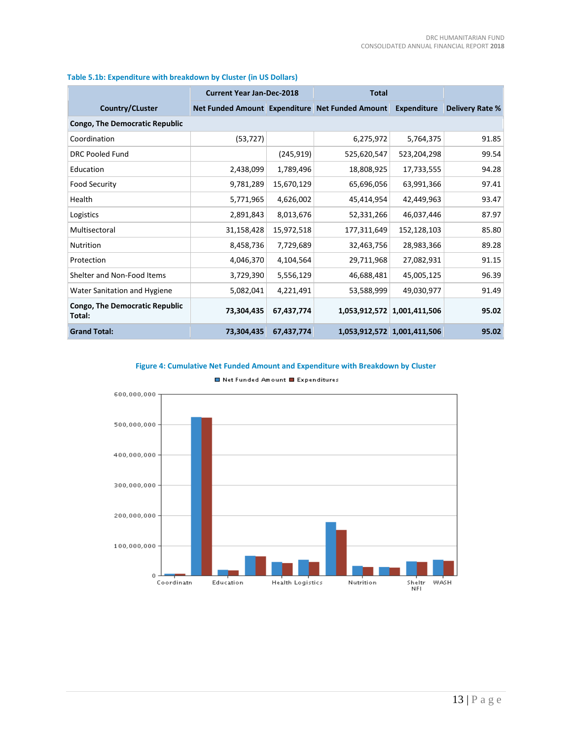|                                                 | <b>Current Year Jan-Dec-2018</b> |            | <b>Total</b>                                    |                             |                 |
|-------------------------------------------------|----------------------------------|------------|-------------------------------------------------|-----------------------------|-----------------|
| Country/CLuster                                 |                                  |            | Net Funded Amount Expenditure Net Funded Amount | <b>Expenditure</b>          | Delivery Rate % |
| <b>Congo, The Democratic Republic</b>           |                                  |            |                                                 |                             |                 |
| Coordination                                    | (53, 727)                        |            | 6,275,972                                       | 5,764,375                   | 91.85           |
| <b>DRC Pooled Fund</b>                          |                                  | (245, 919) | 525,620,547                                     | 523,204,298                 | 99.54           |
| Education                                       | 2,438,099                        | 1,789,496  | 18,808,925                                      | 17,733,555                  | 94.28           |
| <b>Food Security</b>                            | 9,781,289                        | 15,670,129 | 65,696,056                                      | 63,991,366                  | 97.41           |
| Health                                          | 5,771,965                        | 4,626,002  | 45,414,954                                      | 42,449,963                  | 93.47           |
| Logistics                                       | 2,891,843                        | 8,013,676  | 52,331,266                                      | 46,037,446                  | 87.97           |
| Multisectoral                                   | 31,158,428                       | 15,972,518 | 177,311,649                                     | 152,128,103                 | 85.80           |
| <b>Nutrition</b>                                | 8,458,736                        | 7,729,689  | 32,463,756                                      | 28,983,366                  | 89.28           |
| Protection                                      | 4,046,370                        | 4,104,564  | 29,711,968                                      | 27,082,931                  | 91.15           |
| Shelter and Non-Food Items                      | 3,729,390                        | 5,556,129  | 46,688,481                                      | 45,005,125                  | 96.39           |
| Water Sanitation and Hygiene                    | 5,082,041                        | 4,221,491  | 53,588,999                                      | 49,030,977                  | 91.49           |
| <b>Congo, The Democratic Republic</b><br>Total: | 73,304,435                       | 67,437,774 |                                                 | 1,053,912,572 1,001,411,506 | 95.02           |
| <b>Grand Total:</b>                             | 73,304,435                       | 67,437,774 |                                                 | 1,053,912,572 1,001,411,506 | 95.02           |

# **Table 5.1b: Expenditure with breakdown by Cluster (in US Dollars)**

# **Figure 4: Cumulative Net Funded Amount and Expenditure with Breakdown by Cluster**



■ Net Funded Amount ■ Expenditures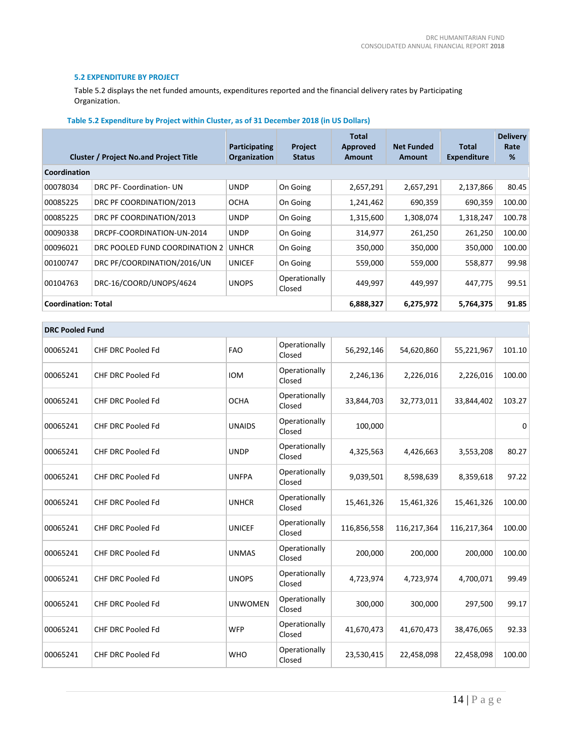# **5.2 EXPENDITURE BY PROJECT**

Table 5.2 displays the net funded amounts, expenditures reported and the financial delivery rates by Participating Organization.

|  |  | Table 5.2 Expenditure by Project within Cluster, as of 31 December 2018 (in US Dollars) |  |
|--|--|-----------------------------------------------------------------------------------------|--|
|--|--|-----------------------------------------------------------------------------------------|--|

|              | <b>Cluster / Project No.and Project Title</b> | <b>Participating</b><br>Organization | <b>Project</b><br><b>Status</b> | Total<br>Approved<br><b>Amount</b> | <b>Net Funded</b><br>Amount | Total<br><b>Expenditure</b> | <b>Delivery</b><br>Rate<br>% |  |
|--------------|-----------------------------------------------|--------------------------------------|---------------------------------|------------------------------------|-----------------------------|-----------------------------|------------------------------|--|
| Coordination |                                               |                                      |                                 |                                    |                             |                             |                              |  |
| 00078034     | DRC PF- Coordination- UN                      | <b>UNDP</b>                          | On Going                        | 2,657,291                          | 2,657,291                   | 2,137,866                   | 80.45                        |  |
| 00085225     | DRC PF COORDINATION/2013                      | <b>OCHA</b>                          | On Going                        | 1,241,462                          | 690,359                     | 690,359                     | 100.00                       |  |
| 00085225     | DRC PF COORDINATION/2013                      | <b>UNDP</b>                          | On Going                        | 1,315,600                          | 1,308,074                   | 1,318,247                   | 100.78                       |  |
| 00090338     | DRCPF-COORDINATION-UN-2014                    | <b>UNDP</b>                          | On Going                        | 314,977                            | 261,250                     | 261,250                     | 100.00                       |  |
| 00096021     | DRC POOLED FUND COORDINATION 2                | <b>UNHCR</b>                         | On Going                        | 350,000                            | 350,000                     | 350,000                     | 100.00                       |  |
| 00100747     | DRC PF/COORDINATION/2016/UN                   | <b>UNICEF</b>                        | On Going                        | 559,000                            | 559,000                     | 558,877                     | 99.98                        |  |
| 00104763     | DRC-16/COORD/UNOPS/4624                       | <b>UNOPS</b>                         | Operationally<br>Closed         | 449,997                            | 449,997                     | 447,775                     | 99.51                        |  |
|              | <b>Coordination: Total</b>                    |                                      |                                 | 6,888,327                          | 6,275,972                   | 5,764,375                   | 91.85                        |  |

|          | <b>DRC Pooled Fund</b>   |                |                         |             |             |             |        |  |  |
|----------|--------------------------|----------------|-------------------------|-------------|-------------|-------------|--------|--|--|
| 00065241 | <b>CHF DRC Pooled Fd</b> | <b>FAO</b>     | Operationally<br>Closed | 56,292,146  | 54,620,860  | 55,221,967  | 101.10 |  |  |
| 00065241 | <b>CHF DRC Pooled Fd</b> | <b>IOM</b>     | Operationally<br>Closed | 2,246,136   | 2,226,016   | 2,226,016   | 100.00 |  |  |
| 00065241 | CHF DRC Pooled Fd        | <b>OCHA</b>    | Operationally<br>Closed | 33,844,703  | 32,773,011  | 33,844,402  | 103.27 |  |  |
| 00065241 | <b>CHF DRC Pooled Fd</b> | <b>UNAIDS</b>  | Operationally<br>Closed | 100,000     |             |             | 0      |  |  |
| 00065241 | <b>CHF DRC Pooled Fd</b> | <b>UNDP</b>    | Operationally<br>Closed | 4,325,563   | 4,426,663   | 3,553,208   | 80.27  |  |  |
| 00065241 | <b>CHF DRC Pooled Fd</b> | <b>UNFPA</b>   | Operationally<br>Closed | 9,039,501   | 8,598,639   | 8,359,618   | 97.22  |  |  |
| 00065241 | <b>CHF DRC Pooled Fd</b> | <b>UNHCR</b>   | Operationally<br>Closed | 15,461,326  | 15,461,326  | 15,461,326  | 100.00 |  |  |
| 00065241 | <b>CHF DRC Pooled Fd</b> | <b>UNICEF</b>  | Operationally<br>Closed | 116,856,558 | 116,217,364 | 116,217,364 | 100.00 |  |  |
| 00065241 | <b>CHF DRC Pooled Fd</b> | <b>UNMAS</b>   | Operationally<br>Closed | 200,000     | 200,000     | 200,000     | 100.00 |  |  |
| 00065241 | <b>CHF DRC Pooled Fd</b> | <b>UNOPS</b>   | Operationally<br>Closed | 4,723,974   | 4,723,974   | 4,700,071   | 99.49  |  |  |
| 00065241 | <b>CHF DRC Pooled Fd</b> | <b>UNWOMEN</b> | Operationally<br>Closed | 300,000     | 300,000     | 297,500     | 99.17  |  |  |
| 00065241 | CHF DRC Pooled Fd        | <b>WFP</b>     | Operationally<br>Closed | 41,670,473  | 41,670,473  | 38,476,065  | 92.33  |  |  |
| 00065241 | CHF DRC Pooled Fd        | <b>WHO</b>     | Operationally<br>Closed | 23,530,415  | 22,458,098  | 22,458,098  | 100.00 |  |  |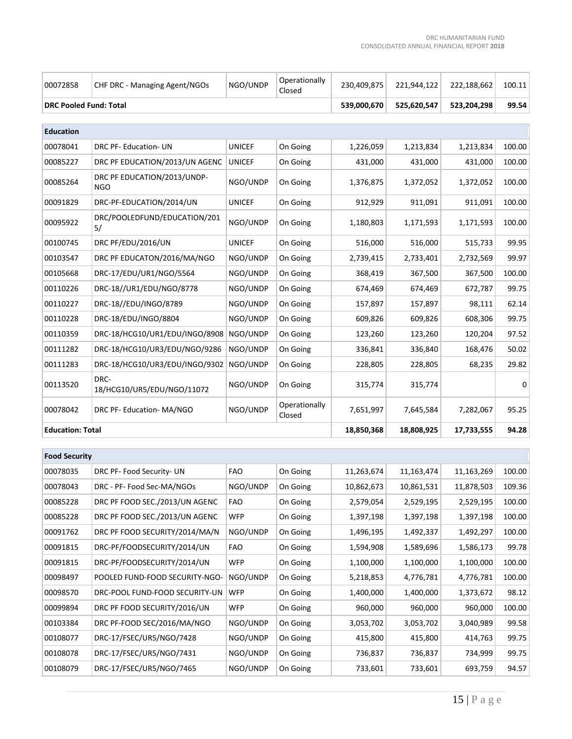T.

| 00072858                      | CHF DRC - Managing Agent/NGOs             | NGO/UNDP      | Operationally<br>Closed | 230,409,875 | 221,944,122 | 222,188,662 | 100.11 |
|-------------------------------|-------------------------------------------|---------------|-------------------------|-------------|-------------|-------------|--------|
| <b>DRC Pooled Fund: Total</b> |                                           |               |                         | 539,000,670 | 525,620,547 | 523,204,298 | 99.54  |
|                               |                                           |               |                         |             |             |             |        |
| <b>Education</b>              |                                           |               |                         |             |             |             |        |
| 00078041                      | DRC PF- Education- UN                     | <b>UNICEF</b> | On Going                | 1,226,059   | 1,213,834   | 1,213,834   | 100.00 |
| 00085227                      | DRC PF EDUCATION/2013/UN AGENC            | <b>UNICEF</b> | On Going                | 431,000     | 431,000     | 431,000     | 100.00 |
| 00085264                      | DRC PF EDUCATION/2013/UNDP-<br><b>NGO</b> | NGO/UNDP      | On Going                | 1,376,875   | 1,372,052   | 1,372,052   | 100.00 |
| 00091829                      | DRC-PF-EDUCATION/2014/UN                  | <b>UNICEF</b> | On Going                | 912,929     | 911,091     | 911,091     | 100.00 |
| 00095922                      | DRC/POOLEDFUND/EDUCATION/201<br>5/        | NGO/UNDP      | On Going                | 1,180,803   | 1,171,593   | 1,171,593   | 100.00 |
| 00100745                      | DRC PF/EDU/2016/UN                        | <b>UNICEF</b> | On Going                | 516,000     | 516,000     | 515,733     | 99.95  |
| 00103547                      | DRC PF EDUCATON/2016/MA/NGO               | NGO/UNDP      | On Going                | 2,739,415   | 2,733,401   | 2,732,569   | 99.97  |
| 00105668                      | DRC-17/EDU/UR1/NGO/5564                   | NGO/UNDP      | On Going                | 368,419     | 367,500     | 367,500     | 100.00 |
| 00110226                      | DRC-18//UR1/EDU/NGO/8778                  | NGO/UNDP      | On Going                | 674,469     | 674,469     | 672,787     | 99.75  |
| 00110227                      | DRC-18//EDU/INGO/8789                     | NGO/UNDP      | On Going                | 157,897     | 157,897     | 98,111      | 62.14  |
| 00110228                      | DRC-18/EDU/INGO/8804                      | NGO/UNDP      | On Going                | 609,826     | 609,826     | 608,306     | 99.75  |
| 00110359                      | DRC-18/HCG10/UR1/EDU/INGO/8908            | NGO/UNDP      | On Going                | 123,260     | 123,260     | 120,204     | 97.52  |
| 00111282                      | DRC-18/HCG10/UR3/EDU/NGO/9286             | NGO/UNDP      | On Going                | 336,841     | 336,840     | 168,476     | 50.02  |
| 00111283                      | DRC-18/HCG10/UR3/EDU/INGO/9302            | NGO/UNDP      | On Going                | 228,805     | 228,805     | 68,235      | 29.82  |
| 00113520                      | DRC-<br>18/HCG10/UR5/EDU/NGO/11072        | NGO/UNDP      | On Going                | 315,774     | 315,774     |             | 0      |
| 00078042                      | DRC PF- Education- MA/NGO                 | NGO/UNDP      | Operationally<br>Closed | 7,651,997   | 7,645,584   | 7,282,067   | 95.25  |
| <b>Education: Total</b>       |                                           |               |                         | 18,850,368  | 18,808,925  | 17,733,555  | 94.28  |
|                               |                                           |               |                         |             |             |             |        |
| <b>Food Security</b>          |                                           |               |                         |             |             |             |        |
| 00078035                      | DRC PF- Food Security- UN                 | <b>FAO</b>    | On Going                | 11,263,674  | 11,163,474  | 11,163,269  | 100.00 |
| 00078043                      | DRC - PF- Food Sec-MA/NGOs                | NGO/UNDP      | On Going                | 10,862,673  | 10,861,531  | 11,878,503  | 109.36 |
| 00085228                      | DRC PF FOOD SEC./2013/UN AGENC            | <b>FAO</b>    | On Going                | 2,579,054   | 2,529,195   | 2,529,195   | 100.00 |
| 00085228                      | DRC PF FOOD SEC./2013/UN AGENC            | <b>WFP</b>    | On Going                | 1,397,198   | 1,397,198   | 1,397,198   | 100.00 |
| 00091762                      | DRC PF FOOD SECURITY/2014/MA/N            | NGO/UNDP      | On Going                | 1,496,195   | 1,492,337   | 1,492,297   | 100.00 |
| 00091815                      | DRC-PF/FOODSECURITY/2014/UN               | <b>FAO</b>    | On Going                | 1,594,908   | 1,589,696   | 1,586,173   | 99.78  |
| 00091815                      | DRC-PF/FOODSECURITY/2014/UN               | <b>WFP</b>    | On Going                | 1,100,000   | 1,100,000   | 1,100,000   | 100.00 |
| 00098497                      | POOLED FUND-FOOD SECURITY-NGO-            | NGO/UNDP      | On Going                | 5,218,853   | 4,776,781   | 4,776,781   | 100.00 |
| 00098570                      | DRC-POOL FUND-FOOD SECURITY-UN            | <b>WFP</b>    | On Going                | 1,400,000   | 1,400,000   | 1,373,672   | 98.12  |
| 00099894                      | DRC PF FOOD SECURITY/2016/UN              | <b>WFP</b>    | On Going                | 960,000     | 960,000     | 960,000     | 100.00 |
| 00103384                      | DRC PF-FOOD SEC/2016/MA/NGO               | NGO/UNDP      | On Going                | 3,053,702   | 3,053,702   | 3,040,989   | 99.58  |
| 00108077                      | DRC-17/FSEC/UR5/NGO/7428                  | NGO/UNDP      | On Going                | 415,800     | 415,800     | 414,763     | 99.75  |
| 00108078                      | DRC-17/FSEC/UR5/NGO/7431                  | NGO/UNDP      | On Going                | 736,837     | 736,837     | 734,999     | 99.75  |
| 00108079                      | DRC-17/FSEC/UR5/NGO/7465                  | NGO/UNDP      | On Going                | 733,601     | 733,601     | 693,759     | 94.57  |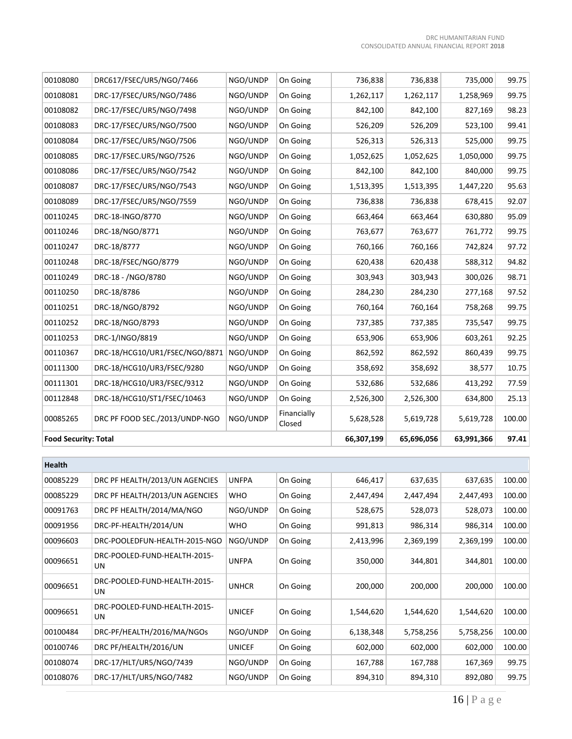| 00108080                    | DRC617/FSEC/UR5/NGO/7466       | NGO/UNDP | On Going              | 736,838    | 736,838    | 735,000    | 99.75  |
|-----------------------------|--------------------------------|----------|-----------------------|------------|------------|------------|--------|
| 00108081                    | DRC-17/FSEC/UR5/NGO/7486       | NGO/UNDP | On Going              | 1,262,117  | 1,262,117  | 1,258,969  | 99.75  |
| 00108082                    | DRC-17/FSEC/UR5/NGO/7498       | NGO/UNDP | On Going              | 842,100    | 842,100    | 827,169    | 98.23  |
| 00108083                    | DRC-17/FSEC/UR5/NGO/7500       | NGO/UNDP | On Going              | 526,209    | 526,209    | 523,100    | 99.41  |
| 00108084                    | DRC-17/FSEC/UR5/NGO/7506       | NGO/UNDP | On Going              | 526,313    | 526,313    | 525,000    | 99.75  |
| 00108085                    | DRC-17/FSEC.UR5/NGO/7526       | NGO/UNDP | On Going              | 1,052,625  | 1,052,625  | 1,050,000  | 99.75  |
| 00108086                    | DRC-17/FSEC/UR5/NGO/7542       | NGO/UNDP | On Going              | 842,100    | 842,100    | 840,000    | 99.75  |
| 00108087                    | DRC-17/FSEC/UR5/NGO/7543       | NGO/UNDP | On Going              | 1,513,395  | 1,513,395  | 1,447,220  | 95.63  |
| 00108089                    | DRC-17/FSEC/UR5/NGO/7559       | NGO/UNDP | On Going              | 736,838    | 736,838    | 678,415    | 92.07  |
| 00110245                    | DRC-18-INGO/8770               | NGO/UNDP | On Going              | 663,464    | 663,464    | 630,880    | 95.09  |
| 00110246                    | DRC-18/NGO/8771                | NGO/UNDP | On Going              | 763,677    | 763,677    | 761,772    | 99.75  |
| 00110247                    | DRC-18/8777                    | NGO/UNDP | On Going              | 760,166    | 760,166    | 742,824    | 97.72  |
| 00110248                    | DRC-18/FSEC/NGO/8779           | NGO/UNDP | On Going              | 620,438    | 620,438    | 588,312    | 94.82  |
| 00110249                    | DRC-18 - /NGO/8780             | NGO/UNDP | On Going              | 303,943    | 303,943    | 300,026    | 98.71  |
| 00110250                    | DRC-18/8786                    | NGO/UNDP | On Going              | 284,230    | 284,230    | 277,168    | 97.52  |
| 00110251                    | DRC-18/NGO/8792                | NGO/UNDP | On Going              | 760,164    | 760,164    | 758,268    | 99.75  |
| 00110252                    | DRC-18/NGO/8793                | NGO/UNDP | On Going              | 737,385    | 737,385    | 735,547    | 99.75  |
| 00110253                    | DRC-1/INGO/8819                | NGO/UNDP | On Going              | 653,906    | 653,906    | 603,261    | 92.25  |
| 00110367                    | DRC-18/HCG10/UR1/FSEC/NGO/8871 | NGO/UNDP | On Going              | 862,592    | 862,592    | 860,439    | 99.75  |
| 00111300                    | DRC-18/HCG10/UR3/FSEC/9280     | NGO/UNDP | On Going              | 358,692    | 358,692    | 38,577     | 10.75  |
| 00111301                    | DRC-18/HCG10/UR3/FSEC/9312     | NGO/UNDP | On Going              | 532,686    | 532,686    | 413,292    | 77.59  |
| 00112848                    | DRC-18/HCG10/ST1/FSEC/10463    | NGO/UNDP | On Going              | 2,526,300  | 2,526,300  | 634,800    | 25.13  |
| 00085265                    | DRC PF FOOD SEC./2013/UNDP-NGO | NGO/UNDP | Financially<br>Closed | 5,628,528  | 5,619,728  | 5,619,728  | 100.00 |
| <b>Food Security: Total</b> |                                |          |                       | 66,307,199 | 65,696,056 | 63,991,366 | 97.41  |

| Health   |                                     |               |          |           |           |           |        |
|----------|-------------------------------------|---------------|----------|-----------|-----------|-----------|--------|
| 00085229 | DRC PF HEALTH/2013/UN AGENCIES      | <b>UNFPA</b>  | On Going | 646,417   | 637,635   | 637,635   | 100.00 |
| 00085229 | DRC PF HEALTH/2013/UN AGENCIES      | <b>WHO</b>    | On Going | 2,447,494 | 2,447,494 | 2,447,493 | 100.00 |
| 00091763 | DRC PF HEALTH/2014/MA/NGO           | NGO/UNDP      | On Going | 528,675   | 528,073   | 528,073   | 100.00 |
| 00091956 | DRC-PF-HEALTH/2014/UN               | <b>WHO</b>    | On Going | 991,813   | 986,314   | 986,314   | 100.00 |
| 00096603 | DRC-POOLEDFUN-HEALTH-2015-NGO       | NGO/UNDP      | On Going | 2,413,996 | 2,369,199 | 2,369,199 | 100.00 |
| 00096651 | DRC-POOLED-FUND-HEALTH-2015-<br>UN. | <b>UNFPA</b>  | On Going | 350,000   | 344,801   | 344,801   | 100.00 |
| 00096651 | DRC-POOLED-FUND-HEALTH-2015-<br>UN. | <b>UNHCR</b>  | On Going | 200,000   | 200,000   | 200,000   | 100.00 |
| 00096651 | DRC-POOLED-FUND-HEALTH-2015-<br>UN. | <b>UNICEF</b> | On Going | 1,544,620 | 1,544,620 | 1,544,620 | 100.00 |
| 00100484 | DRC-PF/HEALTH/2016/MA/NGOs          | NGO/UNDP      | On Going | 6,138,348 | 5,758,256 | 5,758,256 | 100.00 |
| 00100746 | DRC PF/HEALTH/2016/UN               | <b>UNICEF</b> | On Going | 602,000   | 602,000   | 602,000   | 100.00 |
| 00108074 | DRC-17/HLT/UR5/NGO/7439             | NGO/UNDP      | On Going | 167,788   | 167,788   | 167,369   | 99.75  |
| 00108076 | DRC-17/HLT/UR5/NGO/7482             | NGO/UNDP      | On Going | 894,310   | 894,310   | 892,080   | 99.75  |

 $\sim$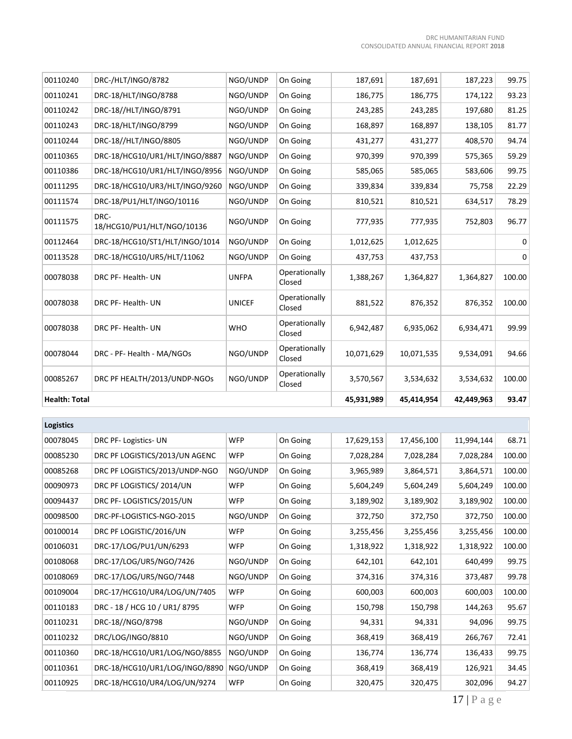| <b>Health: Total</b> |                                    |               |                         | 45,931,989 | 45,414,954 | 42,449,963 | 93.47  |
|----------------------|------------------------------------|---------------|-------------------------|------------|------------|------------|--------|
| 00085267             | DRC PF HEALTH/2013/UNDP-NGOs       | NGO/UNDP      | Operationally<br>Closed | 3,570,567  | 3,534,632  | 3,534,632  | 100.00 |
| 00078044             | DRC - PF- Health - MA/NGOs         | NGO/UNDP      | Operationally<br>Closed | 10,071,629 | 10,071,535 | 9,534,091  | 94.66  |
| 00078038             | DRC PF- Health- UN                 | <b>WHO</b>    | Operationally<br>Closed | 6,942,487  | 6,935,062  | 6,934,471  | 99.99  |
| 00078038             | DRC PF- Health- UN                 | <b>UNICEF</b> | Operationally<br>Closed | 881,522    | 876,352    | 876,352    | 100.00 |
| 00078038             | DRC PF- Health- UN                 | <b>UNFPA</b>  | Operationally<br>Closed | 1,388,267  | 1,364,827  | 1,364,827  | 100.00 |
| 00113528             | DRC-18/HCG10/UR5/HLT/11062         | NGO/UNDP      | On Going                | 437,753    | 437,753    |            | 0      |
| 00112464             | DRC-18/HCG10/ST1/HLT/INGO/1014     | NGO/UNDP      | On Going                | 1,012,625  | 1,012,625  |            | 0      |
| 00111575             | DRC-<br>18/HCG10/PU1/HLT/NGO/10136 | NGO/UNDP      | On Going                | 777,935    | 777,935    | 752,803    | 96.77  |
| 00111574             | DRC-18/PU1/HLT/INGO/10116          | NGO/UNDP      | On Going                | 810,521    | 810,521    | 634,517    | 78.29  |
| 00111295             | DRC-18/HCG10/UR3/HLT/INGO/9260     | NGO/UNDP      | On Going                | 339,834    | 339,834    | 75,758     | 22.29  |
| 00110386             | DRC-18/HCG10/UR1/HLT/INGO/8956     | NGO/UNDP      | On Going                | 585,065    | 585,065    | 583,606    | 99.75  |
| 00110365             | DRC-18/HCG10/UR1/HLT/INGO/8887     | NGO/UNDP      | On Going                | 970,399    | 970,399    | 575,365    | 59.29  |
| 00110244             | DRC-18//HLT/INGO/8805              | NGO/UNDP      | On Going                | 431,277    | 431,277    | 408,570    | 94.74  |
| 00110243             | DRC-18/HLT/INGO/8799               | NGO/UNDP      | On Going                | 168,897    | 168,897    | 138,105    | 81.77  |
| 00110242             | DRC-18//HLT/INGO/8791              | NGO/UNDP      | On Going                | 243,285    | 243,285    | 197,680    | 81.25  |
| 00110241             | DRC-18/HLT/INGO/8788               | NGO/UNDP      | On Going                | 186,775    | 186,775    | 174,122    | 93.23  |
| 00110240             | DRC-/HLT/INGO/8782                 | NGO/UNDP      | On Going                | 187,691    | 187,691    | 187,223    | 99.75  |
|                      |                                    |               |                         |            |            |            |        |

| <b>Logistics</b> |                                |            |          |            |            |            |        |
|------------------|--------------------------------|------------|----------|------------|------------|------------|--------|
| 00078045         | DRC PF-Logistics-UN            | <b>WFP</b> | On Going | 17,629,153 | 17,456,100 | 11,994,144 | 68.71  |
| 00085230         | DRC PF LOGISTICS/2013/UN AGENC | <b>WFP</b> | On Going | 7,028,284  | 7,028,284  | 7,028,284  | 100.00 |
| 00085268         | DRC PF LOGISTICS/2013/UNDP-NGO | NGO/UNDP   | On Going | 3,965,989  | 3,864,571  | 3,864,571  | 100.00 |
| 00090973         | DRC PF LOGISTICS/2014/UN       | <b>WFP</b> | On Going | 5,604,249  | 5,604,249  | 5,604,249  | 100.00 |
| 00094437         | DRC PF-LOGISTICS/2015/UN       | <b>WFP</b> | On Going | 3,189,902  | 3,189,902  | 3,189,902  | 100.00 |
| 00098500         | DRC-PF-LOGISTICS-NGO-2015      | NGO/UNDP   | On Going | 372,750    | 372,750    | 372,750    | 100.00 |
| 00100014         | DRC PF LOGISTIC/2016/UN        | <b>WFP</b> | On Going | 3,255,456  | 3,255,456  | 3,255,456  | 100.00 |
| 00106031         | DRC-17/LOG/PU1/UN/6293         | <b>WFP</b> | On Going | 1,318,922  | 1,318,922  | 1,318,922  | 100.00 |
| 00108068         | DRC-17/LOG/UR5/NGO/7426        | NGO/UNDP   | On Going | 642,101    | 642,101    | 640,499    | 99.75  |
| 00108069         | DRC-17/LOG/UR5/NGO/7448        | NGO/UNDP   | On Going | 374,316    | 374,316    | 373,487    | 99.78  |
| 00109004         | DRC-17/HCG10/UR4/LOG/UN/7405   | <b>WFP</b> | On Going | 600,003    | 600,003    | 600,003    | 100.00 |
| 00110183         | DRC - 18 / HCG 10 / UR1/8795   | <b>WFP</b> | On Going | 150,798    | 150,798    | 144,263    | 95.67  |
| 00110231         | DRC-18//NGO/8798               | NGO/UNDP   | On Going | 94,331     | 94,331     | 94,096     | 99.75  |
| 00110232         | DRC/LOG/INGO/8810              | NGO/UNDP   | On Going | 368,419    | 368,419    | 266,767    | 72.41  |
| 00110360         | DRC-18/HCG10/UR1/LOG/NGO/8855  | NGO/UNDP   | On Going | 136,774    | 136,774    | 136,433    | 99.75  |
| 00110361         | DRC-18/HCG10/UR1/LOG/INGO/8890 | NGO/UNDP   | On Going | 368,419    | 368,419    | 126,921    | 34.45  |
| 00110925         | DRC-18/HCG10/UR4/LOG/UN/9274   | <b>WFP</b> | On Going | 320,475    | 320,475    | 302,096    | 94.27  |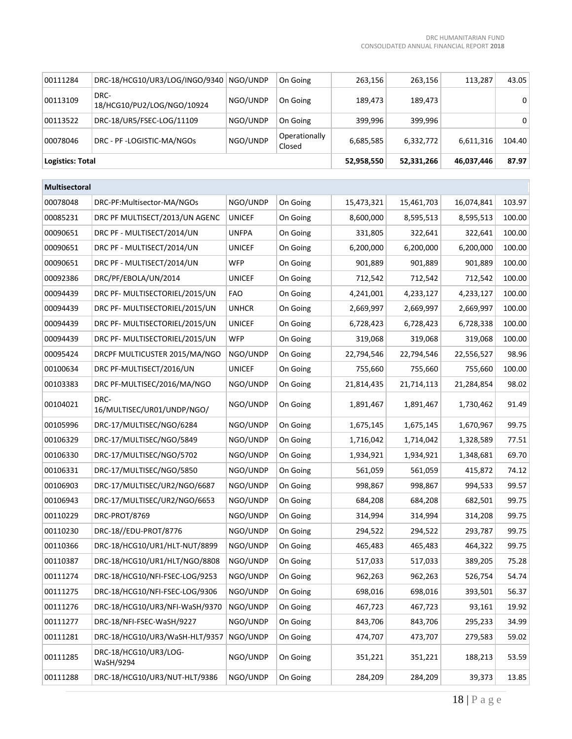| 00111284         | DRC-18/HCG10/UR3/LOG/INGO/9340     | NGO/UNDP | On Going                | 263,156    | 263,156    | 113,287    | 43.05  |
|------------------|------------------------------------|----------|-------------------------|------------|------------|------------|--------|
| 00113109         | DRC-<br>18/HCG10/PU2/LOG/NGO/10924 | NGO/UNDP | On Going                | 189,473    | 189,473    |            | 0      |
| 00113522         | DRC-18/UR5/FSEC-LOG/11109          | NGO/UNDP | On Going                | 399,996    | 399,996    |            | 0      |
| 00078046         | DRC - PF -LOGISTIC-MA/NGOs         | NGO/UNDP | Operationally<br>Closed | 6,685,585  | 6,332,772  | 6,611,316  | 104.40 |
| Logistics: Total |                                    |          |                         | 52,958,550 | 52,331,266 | 46,037,446 | 87.97  |

| <b>Multisectoral</b> |                                    |               |          |            |            |            |        |
|----------------------|------------------------------------|---------------|----------|------------|------------|------------|--------|
| 00078048             | DRC-PF:Multisector-MA/NGOs         | NGO/UNDP      | On Going | 15,473,321 | 15,461,703 | 16,074,841 | 103.97 |
| 00085231             | DRC PF MULTISECT/2013/UN AGENC     | <b>UNICEF</b> | On Going | 8,600,000  | 8,595,513  | 8,595,513  | 100.00 |
| 00090651             | DRC PF - MULTISECT/2014/UN         | <b>UNFPA</b>  | On Going | 331,805    | 322,641    | 322,641    | 100.00 |
| 00090651             | DRC PF - MULTISECT/2014/UN         | <b>UNICEF</b> | On Going | 6,200,000  | 6,200,000  | 6,200,000  | 100.00 |
| 00090651             | DRC PF - MULTISECT/2014/UN         | WFP           | On Going | 901,889    | 901,889    | 901,889    | 100.00 |
| 00092386             | DRC/PF/EBOLA/UN/2014               | <b>UNICEF</b> | On Going | 712,542    | 712,542    | 712,542    | 100.00 |
| 00094439             | DRC PF- MULTISECTORIEL/2015/UN     | FAO           | On Going | 4,241,001  | 4,233,127  | 4,233,127  | 100.00 |
| 00094439             | DRC PF- MULTISECTORIEL/2015/UN     | <b>UNHCR</b>  | On Going | 2,669,997  | 2,669,997  | 2,669,997  | 100.00 |
| 00094439             | DRC PF- MULTISECTORIEL/2015/UN     | <b>UNICEF</b> | On Going | 6,728,423  | 6,728,423  | 6,728,338  | 100.00 |
| 00094439             | DRC PF- MULTISECTORIEL/2015/UN     | <b>WFP</b>    | On Going | 319,068    | 319,068    | 319,068    | 100.00 |
| 00095424             | DRCPF MULTICUSTER 2015/MA/NGO      | NGO/UNDP      | On Going | 22,794,546 | 22,794,546 | 22,556,527 | 98.96  |
| 00100634             | DRC PF-MULTISECT/2016/UN           | <b>UNICEF</b> | On Going | 755,660    | 755,660    | 755,660    | 100.00 |
| 00103383             | DRC PF-MULTISEC/2016/MA/NGO        | NGO/UNDP      | On Going | 21,814,435 | 21,714,113 | 21,284,854 | 98.02  |
| 00104021             | DRC-<br>16/MULTISEC/UR01/UNDP/NGO/ | NGO/UNDP      | On Going | 1,891,467  | 1,891,467  | 1,730,462  | 91.49  |
| 00105996             | DRC-17/MULTISEC/NGO/6284           | NGO/UNDP      | On Going | 1,675,145  | 1,675,145  | 1,670,967  | 99.75  |
| 00106329             | DRC-17/MULTISEC/NGO/5849           | NGO/UNDP      | On Going | 1,716,042  | 1,714,042  | 1,328,589  | 77.51  |
| 00106330             | DRC-17/MULTISEC/NGO/5702           | NGO/UNDP      | On Going | 1,934,921  | 1,934,921  | 1,348,681  | 69.70  |
| 00106331             | DRC-17/MULTISEC/NGO/5850           | NGO/UNDP      | On Going | 561,059    | 561,059    | 415,872    | 74.12  |
| 00106903             | DRC-17/MULTISEC/UR2/NGO/6687       | NGO/UNDP      | On Going | 998,867    | 998,867    | 994,533    | 99.57  |
| 00106943             | DRC-17/MULTISEC/UR2/NGO/6653       | NGO/UNDP      | On Going | 684,208    | 684,208    | 682,501    | 99.75  |
| 00110229             | DRC-PROT/8769                      | NGO/UNDP      | On Going | 314,994    | 314,994    | 314,208    | 99.75  |
| 00110230             | DRC-18//EDU-PROT/8776              | NGO/UNDP      | On Going | 294,522    | 294,522    | 293,787    | 99.75  |
| 00110366             | DRC-18/HCG10/UR1/HLT-NUT/8899      | NGO/UNDP      | On Going | 465,483    | 465,483    | 464,322    | 99.75  |
| 00110387             | DRC-18/HCG10/UR1/HLT/NGO/8808      | NGO/UNDP      | On Going | 517,033    | 517,033    | 389,205    | 75.28  |
| 00111274             | DRC-18/HCG10/NFI-FSEC-LOG/9253     | NGO/UNDP      | On Going | 962,263    | 962,263    | 526,754    | 54.74  |
| 00111275             | DRC-18/HCG10/NFI-FSEC-LOG/9306     | NGO/UNDP      | On Going | 698,016    | 698,016    | 393,501    | 56.37  |
| 00111276             | DRC-18/HCG10/UR3/NFI-WaSH/9370     | NGO/UNDP      | On Going | 467,723    | 467,723    | 93,161     | 19.92  |
| 00111277             | DRC-18/NFI-FSEC-WaSH/9227          | NGO/UNDP      | On Going | 843,706    | 843,706    | 295,233    | 34.99  |
| 00111281             | DRC-18/HCG10/UR3/WaSH-HLT/9357     | NGO/UNDP      | On Going | 474,707    | 473,707    | 279,583    | 59.02  |
| 00111285             | DRC-18/HCG10/UR3/LOG-<br>WaSH/9294 | NGO/UNDP      | On Going | 351,221    | 351,221    | 188,213    | 53.59  |
| 00111288             | DRC-18/HCG10/UR3/NUT-HLT/9386      | NGO/UNDP      | On Going | 284,209    | 284,209    | 39,373     | 13.85  |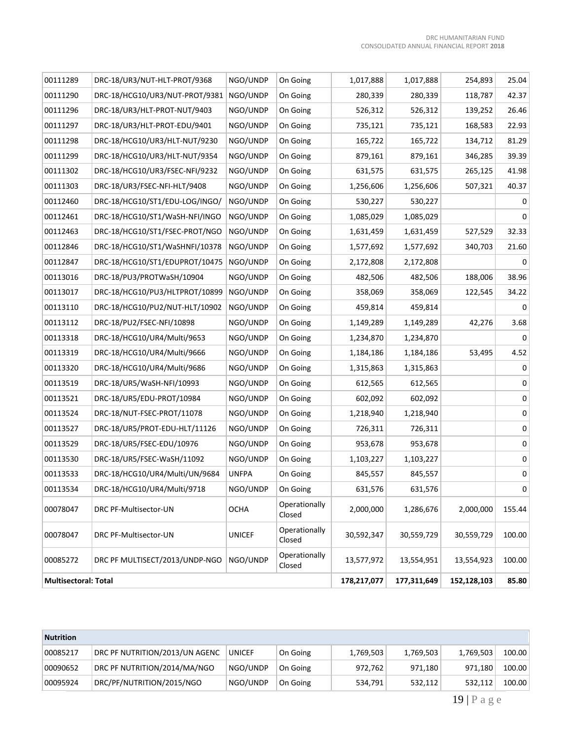| <b>Multisectoral: Total</b> |                                |               |                         | 178,217,077 | 177,311,649 | 152,128,103 | 85.80            |
|-----------------------------|--------------------------------|---------------|-------------------------|-------------|-------------|-------------|------------------|
| 00085272                    | DRC PF MULTISECT/2013/UNDP-NGO | NGO/UNDP      | Operationally<br>Closed | 13,577,972  | 13,554,951  | 13,554,923  | 100.00           |
| 00078047                    | DRC PF-Multisector-UN          | <b>UNICEF</b> | Operationally<br>Closed | 30,592,347  | 30,559,729  | 30,559,729  | 100.00           |
| 00078047                    | DRC PF-Multisector-UN          | <b>OCHA</b>   | Operationally<br>Closed | 2,000,000   | 1,286,676   | 2,000,000   | 155.44           |
| 00113534                    | DRC-18/HCG10/UR4/Multi/9718    | NGO/UNDP      | On Going                | 631,576     | 631,576     |             | $\boldsymbol{0}$ |
| 00113533                    | DRC-18/HCG10/UR4/Multi/UN/9684 | <b>UNFPA</b>  | On Going                | 845,557     | 845,557     |             | $\mathsf 0$      |
| 00113530                    | DRC-18/UR5/FSEC-WaSH/11092     | NGO/UNDP      | On Going                | 1,103,227   | 1,103,227   |             | 0                |
| 00113529                    | DRC-18/UR5/FSEC-EDU/10976      | NGO/UNDP      | On Going                | 953,678     | 953,678     |             | $\pmb{0}$        |
| 00113527                    | DRC-18/UR5/PROT-EDU-HLT/11126  | NGO/UNDP      | On Going                | 726,311     | 726,311     |             | $\pmb{0}$        |
| 00113524                    | DRC-18/NUT-FSEC-PROT/11078     | NGO/UNDP      | On Going                | 1,218,940   | 1,218,940   |             | $\pmb{0}$        |
| 00113521                    | DRC-18/UR5/EDU-PROT/10984      | NGO/UNDP      | On Going                | 602,092     | 602,092     |             | $\pmb{0}$        |
| 00113519                    | DRC-18/UR5/WaSH-NFI/10993      | NGO/UNDP      | On Going                | 612,565     | 612,565     |             | $\pmb{0}$        |
| 00113320                    | DRC-18/HCG10/UR4/Multi/9686    | NGO/UNDP      | On Going                | 1,315,863   | 1,315,863   |             | 0                |
| 00113319                    | DRC-18/HCG10/UR4/Multi/9666    | NGO/UNDP      | On Going                | 1,184,186   | 1,184,186   | 53,495      | 4.52             |
| 00113318                    | DRC-18/HCG10/UR4/Multi/9653    | NGO/UNDP      | On Going                | 1,234,870   | 1,234,870   |             | 0                |
| 00113112                    | DRC-18/PU2/FSEC-NFI/10898      | NGO/UNDP      | On Going                | 1,149,289   | 1,149,289   | 42,276      | 3.68             |
| 00113110                    | DRC-18/HCG10/PU2/NUT-HLT/10902 | NGO/UNDP      | On Going                | 459,814     | 459,814     |             | 0                |
| 00113017                    | DRC-18/HCG10/PU3/HLTPROT/10899 | NGO/UNDP      | On Going                | 358,069     | 358,069     | 122,545     | 34.22            |
| 00113016                    | DRC-18/PU3/PROTWaSH/10904      | NGO/UNDP      | On Going                | 482,506     | 482,506     | 188,006     | 38.96            |
| 00112847                    | DRC-18/HCG10/ST1/EDUPROT/10475 | NGO/UNDP      | On Going                | 2,172,808   | 2,172,808   |             | 0                |
| 00112846                    | DRC-18/HCG10/ST1/WaSHNFI/10378 | NGO/UNDP      | On Going                | 1,577,692   | 1,577,692   | 340,703     | 21.60            |
| 00112463                    | DRC-18/HCG10/ST1/FSEC-PROT/NGO | NGO/UNDP      | On Going                | 1,631,459   | 1,631,459   | 527,529     | 32.33            |
| 00112461                    | DRC-18/HCG10/ST1/WaSH-NFI/INGO | NGO/UNDP      | On Going                | 1,085,029   | 1,085,029   |             | 0                |
| 00112460                    | DRC-18/HCG10/ST1/EDU-LOG/INGO/ | NGO/UNDP      | On Going                | 530,227     | 530,227     |             | 0                |
| 00111303                    | DRC-18/UR3/FSEC-NFI-HLT/9408   | NGO/UNDP      | On Going                | 1,256,606   | 1,256,606   | 507,321     | 40.37            |
| 00111302                    | DRC-18/HCG10/UR3/FSEC-NFI/9232 | NGO/UNDP      | On Going                | 631,575     | 631,575     | 265,125     | 41.98            |
| 00111299                    | DRC-18/HCG10/UR3/HLT-NUT/9354  | NGO/UNDP      | On Going                | 879,161     | 879,161     | 346,285     | 39.39            |
| 00111298                    | DRC-18/HCG10/UR3/HLT-NUT/9230  | NGO/UNDP      | On Going                | 165,722     | 165,722     | 134,712     | 81.29            |
| 00111297                    | DRC-18/UR3/HLT-PROT-EDU/9401   | NGO/UNDP      | On Going                | 735,121     | 735,121     | 168,583     | 22.93            |
| 00111296                    | DRC-18/UR3/HLT-PROT-NUT/9403   | NGO/UNDP      | On Going                | 526,312     | 526,312     | 139,252     | 26.46            |
| 00111290                    | DRC-18/HCG10/UR3/NUT-PROT/9381 | NGO/UNDP      | On Going                | 280,339     | 280,339     | 118,787     | 42.37            |
| 00111289                    | DRC-18/UR3/NUT-HLT-PROT/9368   | NGO/UNDP      | On Going                | 1,017,888   | 1,017,888   | 254,893     | 25.04            |

| <b>Nutrition</b> |                                |               |          |           |           |           |        |
|------------------|--------------------------------|---------------|----------|-----------|-----------|-----------|--------|
| 00085217         | DRC PF NUTRITION/2013/UN AGENC | <b>UNICEF</b> | On Going | 1,769,503 | 1,769,503 | 1,769,503 | 100.00 |
| 00090652         | DRC PF NUTRITION/2014/MA/NGO   | NGO/UNDP      | On Going | 972,762   | 971.180   | 971,180   | 100.00 |
| 00095924         | DRC/PF/NUTRITION/2015/NGO      | NGO/UNDP      | On Going | 534,791   | 532,112   | 532,112   | 100.00 |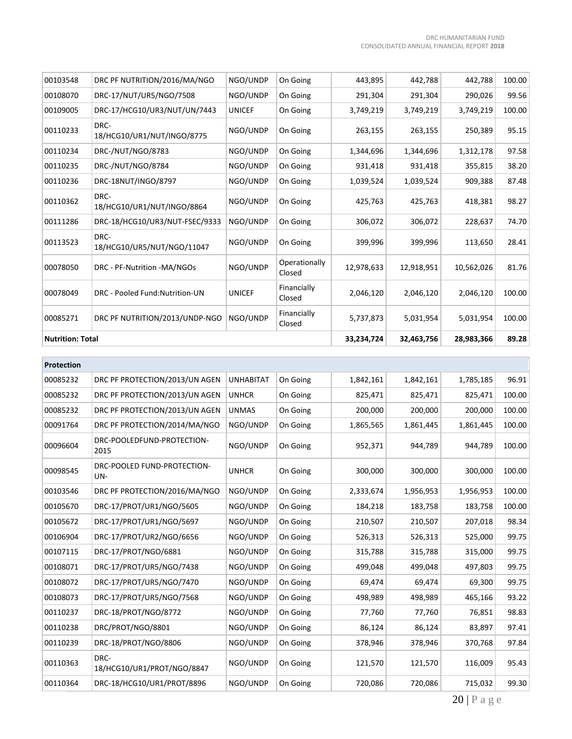| 00103548                | DRC PF NUTRITION/2016/MA/NGO       | NGO/UNDP      | On Going                | 443,895    | 442,788    | 442,788    | 100.00 |
|-------------------------|------------------------------------|---------------|-------------------------|------------|------------|------------|--------|
| 00108070                | DRC-17/NUT/UR5/NGO/7508            | NGO/UNDP      | On Going                | 291,304    | 291,304    | 290,026    | 99.56  |
| 00109005                | DRC-17/HCG10/UR3/NUT/UN/7443       | <b>UNICEF</b> | On Going                | 3,749,219  | 3,749,219  | 3,749,219  | 100.00 |
| 00110233                | DRC-<br>18/HCG10/UR1/NUT/INGO/8775 | NGO/UNDP      | On Going                | 263,155    | 263,155    | 250,389    | 95.15  |
| 00110234                | DRC-/NUT/NGO/8783                  | NGO/UNDP      | On Going                | 1,344,696  | 1,344,696  | 1,312,178  | 97.58  |
| 00110235                | DRC-/NUT/NGO/8784                  | NGO/UNDP      | On Going                | 931,418    | 931,418    | 355,815    | 38.20  |
| 00110236                | DRC-18NUT/INGO/8797                | NGO/UNDP      | On Going                | 1,039,524  | 1,039,524  | 909,388    | 87.48  |
| 00110362                | DRC-<br>18/HCG10/UR1/NUT/INGO/8864 | NGO/UNDP      | On Going                | 425,763    | 425,763    | 418,381    | 98.27  |
| 00111286                | DRC-18/HCG10/UR3/NUT-FSEC/9333     | NGO/UNDP      | On Going                | 306,072    | 306,072    | 228,637    | 74.70  |
| 00113523                | DRC-<br>18/HCG10/UR5/NUT/NGO/11047 | NGO/UNDP      | On Going                | 399,996    | 399,996    | 113,650    | 28.41  |
| 00078050                | DRC - PF-Nutrition -MA/NGOs        | NGO/UNDP      | Operationally<br>Closed | 12,978,633 | 12,918,951 | 10,562,026 | 81.76  |
| 00078049                | DRC - Pooled Fund: Nutrition-UN    | <b>UNICEF</b> | Financially<br>Closed   | 2,046,120  | 2,046,120  | 2,046,120  | 100.00 |
| 00085271                | DRC PF NUTRITION/2013/UNDP-NGO     | NGO/UNDP      | Financially<br>Closed   | 5,737,873  | 5,031,954  | 5,031,954  | 100.00 |
| <b>Nutrition: Total</b> |                                    |               |                         | 33,234,724 | 32,463,756 | 28,983,366 | 89.28  |

| DRC PF PROTECTION/2013/UN AGEN     | <b>UNHABITAT</b> | On Going | 1,842,161 | 1,842,161 | 1,785,185 | 96.91  |
|------------------------------------|------------------|----------|-----------|-----------|-----------|--------|
| DRC PF PROTECTION/2013/UN AGEN     | <b>UNHCR</b>     | On Going | 825,471   | 825,471   | 825,471   | 100.00 |
| DRC PF PROTECTION/2013/UN AGEN     | <b>UNMAS</b>     | On Going | 200,000   | 200,000   | 200,000   | 100.00 |
| DRC PF PROTECTION/2014/MA/NGO      | NGO/UNDP         | On Going | 1,865,565 | 1,861,445 | 1,861,445 | 100.00 |
| DRC-POOLEDFUND-PROTECTION-<br>2015 | NGO/UNDP         | On Going | 952,371   | 944,789   | 944,789   | 100.00 |
| DRC-POOLED FUND-PROTECTION-<br>UN- | <b>UNHCR</b>     | On Going | 300,000   | 300,000   | 300,000   | 100.00 |
| DRC PF PROTECTION/2016/MA/NGO      | NGO/UNDP         | On Going | 2,333,674 | 1,956,953 | 1,956,953 | 100.00 |
| DRC-17/PROT/UR1/NGO/5605           | NGO/UNDP         | On Going | 184,218   | 183,758   | 183,758   | 100.00 |
| DRC-17/PROT/UR1/NGO/5697           | NGO/UNDP         | On Going | 210,507   | 210,507   | 207,018   | 98.34  |
| DRC-17/PROT/UR2/NGO/6656           | NGO/UNDP         | On Going | 526,313   | 526,313   | 525,000   | 99.75  |
| DRC-17/PROT/NGO/6881               | NGO/UNDP         | On Going | 315,788   | 315,788   | 315,000   | 99.75  |
| DRC-17/PROT/UR5/NGO/7438           | NGO/UNDP         | On Going | 499,048   | 499,048   | 497,803   | 99.75  |
| DRC-17/PROT/UR5/NGO/7470           | NGO/UNDP         | On Going | 69,474    | 69,474    | 69,300    | 99.75  |
| DRC-17/PROT/UR5/NGO/7568           | NGO/UNDP         | On Going | 498,989   | 498,989   | 465,166   | 93.22  |
| DRC-18/PROT/NGO/8772               | NGO/UNDP         | On Going | 77,760    | 77,760    | 76,851    | 98.83  |
| DRC/PROT/NGO/8801                  | NGO/UNDP         | On Going | 86,124    | 86,124    | 83,897    | 97.41  |
| DRC-18/PROT/NGO/8806               | NGO/UNDP         | On Going | 378,946   | 378,946   | 370,768   | 97.84  |
| DRC-<br>18/HCG10/UR1/PROT/NGO/8847 | NGO/UNDP         | On Going | 121,570   | 121,570   | 116,009   | 95.43  |
| DRC-18/HCG10/UR1/PROT/8896         | NGO/UNDP         | On Going | 720,086   | 720,086   | 715,032   | 99.30  |
|                                    |                  |          |           |           |           |        |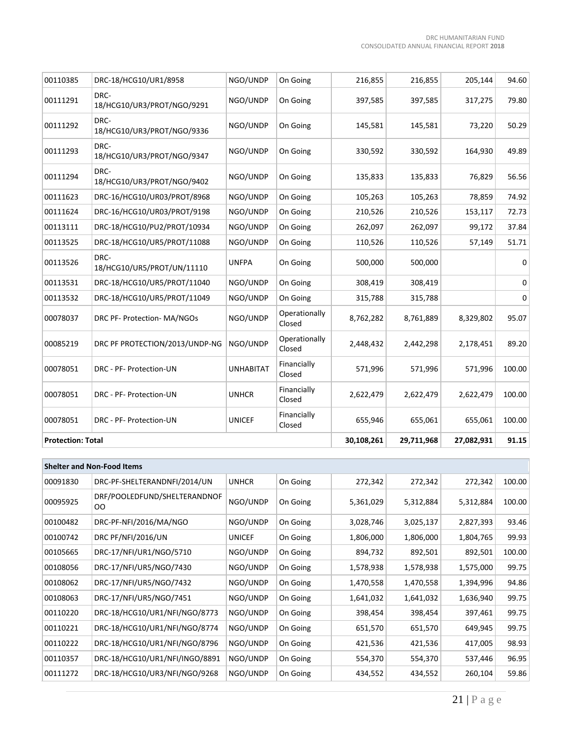| 00110385                 | DRC-18/HCG10/UR1/8958              | NGO/UNDP         | On Going                | 216,855    | 216,855    | 205,144   | 94.60  |
|--------------------------|------------------------------------|------------------|-------------------------|------------|------------|-----------|--------|
| 00111291                 | DRC-<br>18/HCG10/UR3/PROT/NGO/9291 | NGO/UNDP         | On Going                | 397,585    | 397,585    | 317,275   | 79.80  |
| 00111292                 | DRC-<br>18/HCG10/UR3/PROT/NGO/9336 | NGO/UNDP         | On Going                | 145,581    | 145,581    | 73,220    | 50.29  |
| 00111293                 | DRC-<br>18/HCG10/UR3/PROT/NGO/9347 | NGO/UNDP         | On Going                | 330,592    | 330,592    | 164,930   | 49.89  |
| 00111294                 | DRC-<br>18/HCG10/UR3/PROT/NGO/9402 | NGO/UNDP         | On Going                | 135,833    | 135,833    | 76,829    | 56.56  |
| 00111623                 | DRC-16/HCG10/UR03/PROT/8968        | NGO/UNDP         | On Going                | 105,263    | 105,263    | 78,859    | 74.92  |
| 00111624                 | DRC-16/HCG10/UR03/PROT/9198        | NGO/UNDP         | On Going                | 210,526    | 210,526    | 153,117   | 72.73  |
| 00113111                 | DRC-18/HCG10/PU2/PROT/10934        | NGO/UNDP         | On Going                | 262,097    | 262,097    | 99,172    | 37.84  |
| 00113525                 | DRC-18/HCG10/UR5/PROT/11088        | NGO/UNDP         | On Going                | 110,526    | 110,526    | 57,149    | 51.71  |
| 00113526                 | DRC-<br>18/HCG10/UR5/PROT/UN/11110 | <b>UNFPA</b>     | On Going                | 500,000    | 500,000    |           | 0      |
| 00113531                 | DRC-18/HCG10/UR5/PROT/11040        | NGO/UNDP         | On Going                | 308,419    | 308,419    |           | 0      |
| 00113532                 | DRC-18/HCG10/UR5/PROT/11049        | NGO/UNDP         | On Going                | 315,788    | 315,788    |           | 0      |
| 00078037                 | DRC PF- Protection- MA/NGOs        | NGO/UNDP         | Operationally<br>Closed | 8,762,282  | 8,761,889  | 8,329,802 | 95.07  |
| 00085219                 | DRC PF PROTECTION/2013/UNDP-NG     | NGO/UNDP         | Operationally<br>Closed | 2,448,432  | 2,442,298  | 2,178,451 | 89.20  |
| 00078051                 | DRC - PF- Protection-UN            | <b>UNHABITAT</b> | Financially<br>Closed   | 571,996    | 571,996    | 571,996   | 100.00 |
| 00078051                 | DRC - PF- Protection-UN            | <b>UNHCR</b>     | Financially<br>Closed   | 2,622,479  | 2,622,479  | 2,622,479 | 100.00 |
| 00078051                 | DRC - PF- Protection-UN            | <b>UNICEF</b>    | Financially<br>Closed   | 655,946    | 655,061    | 655,061   | 100.00 |
| <b>Protection: Total</b> |                                    |                  | 30,108,261              | 29,711,968 | 27,082,931 | 91.15     |        |

| <b>Shelter and Non-Food Items</b> |                                    |               |          |           |           |           |        |
|-----------------------------------|------------------------------------|---------------|----------|-----------|-----------|-----------|--------|
| 00091830                          | DRC-PF-SHELTERANDNFI/2014/UN       | <b>UNHCR</b>  | On Going | 272,342   | 272,342   | 272,342   | 100.00 |
| 00095925                          | DRF/POOLEDFUND/SHELTERANDNOF<br>OO | NGO/UNDP      | On Going | 5,361,029 | 5,312,884 | 5,312,884 | 100.00 |
| 00100482                          | DRC-PF-NFI/2016/MA/NGO             | NGO/UNDP      | On Going | 3,028,746 | 3,025,137 | 2,827,393 | 93.46  |
| 00100742                          | DRC PF/NFI/2016/UN                 | <b>UNICEF</b> | On Going | 1,806,000 | 1,806,000 | 1,804,765 | 99.93  |
| 00105665                          | DRC-17/NFI/UR1/NGO/5710            | NGO/UNDP      | On Going | 894,732   | 892,501   | 892,501   | 100.00 |
| 00108056                          | DRC-17/NFI/UR5/NGO/7430            | NGO/UNDP      | On Going | 1,578,938 | 1,578,938 | 1,575,000 | 99.75  |
| 00108062                          | DRC-17/NFI/UR5/NGO/7432            | NGO/UNDP      | On Going | 1,470,558 | 1,470,558 | 1,394,996 | 94.86  |
| 00108063                          | DRC-17/NFI/UR5/NGO/7451            | NGO/UNDP      | On Going | 1,641,032 | 1,641,032 | 1,636,940 | 99.75  |
| 00110220                          | DRC-18/HCG10/UR1/NFI/NGO/8773      | NGO/UNDP      | On Going | 398,454   | 398,454   | 397,461   | 99.75  |
| 00110221                          | DRC-18/HCG10/UR1/NFI/NGO/8774      | NGO/UNDP      | On Going | 651,570   | 651,570   | 649,945   | 99.75  |
| 00110222                          | DRC-18/HCG10/UR1/NFI/NGO/8796      | NGO/UNDP      | On Going | 421,536   | 421,536   | 417,005   | 98.93  |
| 00110357                          | DRC-18/HCG10/UR1/NFI/INGO/8891     | NGO/UNDP      | On Going | 554,370   | 554,370   | 537,446   | 96.95  |
| 00111272                          | DRC-18/HCG10/UR3/NFI/NGO/9268      | NGO/UNDP      | On Going | 434,552   | 434,552   | 260,104   | 59.86  |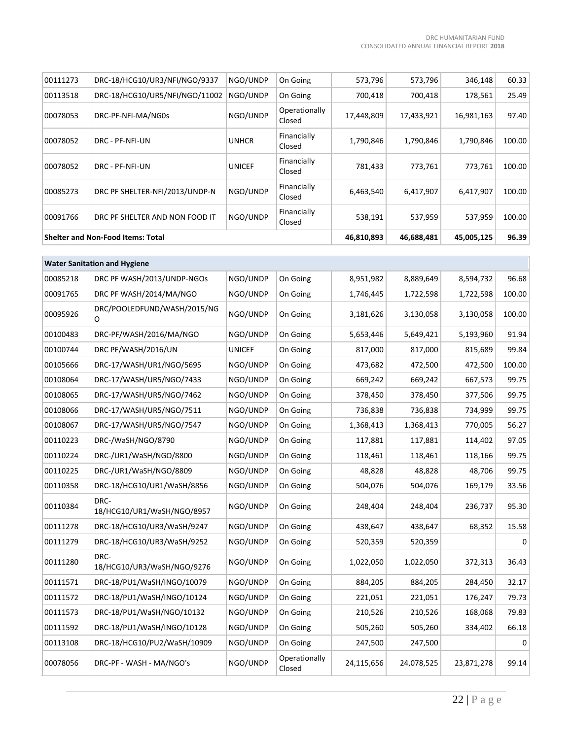| 00111273 | DRC-18/HCG10/UR3/NFI/NGO/9337            | NGO/UNDP      | On Going                | 573,796    | 573,796    | 346,148    | 60.33  |
|----------|------------------------------------------|---------------|-------------------------|------------|------------|------------|--------|
| 00113518 | DRC-18/HCG10/UR5/NFI/NGO/11002           | NGO/UNDP      | On Going                | 700,418    | 700,418    | 178,561    | 25.49  |
| 00078053 | DRC-PF-NFI-MA/NG0s                       | NGO/UNDP      | Operationally<br>Closed | 17,448,809 | 17,433,921 | 16,981,163 | 97.40  |
| 00078052 | DRC - PF-NFI-UN                          | <b>UNHCR</b>  | Financially<br>Closed   | 1,790,846  | 1,790,846  | 1,790,846  | 100.00 |
| 00078052 | DRC - PF-NFI-UN                          | <b>UNICEF</b> | Financially<br>Closed   | 781,433    | 773,761    | 773,761    | 100.00 |
| 00085273 | DRC PF SHELTER-NFI/2013/UNDP-N           | NGO/UNDP      | Financially<br>Closed   | 6,463,540  | 6,417,907  | 6,417,907  | 100.00 |
| 00091766 | DRC PF SHELTER AND NON FOOD IT           | NGO/UNDP      | Financially<br>Closed   | 538,191    | 537,959    | 537,959    | 100.00 |
|          | <b>Shelter and Non-Food Items: Total</b> |               |                         | 46,810,893 | 46,688,481 | 45,005,125 | 96.39  |
|          |                                          |               |                         |            |            |            |        |
|          | <b>Water Sanitation and Hygiene</b>      |               |                         |            |            |            |        |
| 00085218 | DRC PF WASH/2013/UNDP-NGOs               | NGO/UNDP      | On Going                | 8,951,982  | 8,889,649  | 8,594,732  | 96.68  |
| 00091765 | DRC PF WASH/2014/MA/NGO                  | NGO/UNDP      | On Going                | 1,746,445  | 1,722,598  | 1,722,598  | 100.00 |
| 00095926 | DRC/POOLEDFUND/WASH/2015/NG<br>O         | NGO/UNDP      | On Going                | 3,181,626  | 3,130,058  | 3,130,058  | 100.00 |
| 00100483 | DRC-PF/WASH/2016/MA/NGO                  | NGO/UNDP      | On Going                | 5,653,446  | 5,649,421  | 5,193,960  | 91.94  |
| 00100744 | DRC PF/WASH/2016/UN                      | <b>UNICEF</b> | On Going                | 817,000    | 817,000    | 815,689    | 99.84  |
| 00105666 | DRC-17/WASH/UR1/NGO/5695                 | NGO/UNDP      | On Going                | 473,682    | 472,500    | 472,500    | 100.00 |
| 00108064 | DRC-17/WASH/UR5/NGO/7433                 | NGO/UNDP      | On Going                | 669,242    | 669,242    | 667,573    | 99.75  |
| 00108065 | DRC-17/WASH/UR5/NGO/7462                 | NGO/UNDP      | On Going                | 378,450    | 378,450    | 377,506    | 99.75  |
| 00108066 | DRC-17/WASH/UR5/NGO/7511                 | NGO/UNDP      | On Going                | 736,838    | 736,838    | 734,999    | 99.75  |
| 00108067 | DRC-17/WASH/UR5/NGO/7547                 | NGO/UNDP      | On Going                | 1,368,413  | 1,368,413  | 770,005    | 56.27  |
| 00110223 | DRC-/WaSH/NGO/8790                       | NGO/UNDP      | On Going                | 117,881    | 117,881    | 114,402    | 97.05  |
| 00110224 | DRC-/UR1/WaSH/NGO/8800                   | NGO/UNDP      | On Going                | 118,461    | 118,461    | 118,166    | 99.75  |
| 00110225 | DRC-/UR1/WaSH/NGO/8809                   | NGO/UNDP      | On Going                | 48,828     | 48,828     | 48,706     | 99.75  |
| 00110358 | DRC-18/HCG10/UR1/WaSH/8856               | NGO/UNDP      | On Going                | 504,076    | 504,076    | 169,179    | 33.56  |
| 00110384 | DRC-<br>18/HCG10/UR1/WaSH/NGO/8957       | NGO/UNDP      | On Going                | 248,404    | 248,404    | 236,737    | 95.30  |
| 00111278 | DRC-18/HCG10/UR3/WaSH/9247               | NGO/UNDP      | On Going                | 438,647    | 438,647    | 68,352     | 15.58  |
| 00111279 | DRC-18/HCG10/UR3/WaSH/9252               | NGO/UNDP      | On Going                | 520,359    | 520,359    |            | 0      |
| 00111280 | DRC-<br>18/HCG10/UR3/WaSH/NGO/9276       | NGO/UNDP      | On Going                | 1,022,050  | 1,022,050  | 372,313    | 36.43  |
| 00111571 | DRC-18/PU1/WaSH/INGO/10079               | NGO/UNDP      | On Going                | 884,205    | 884,205    | 284,450    | 32.17  |
| 00111572 | DRC-18/PU1/WaSH/INGO/10124               | NGO/UNDP      | On Going                | 221,051    | 221,051    | 176,247    | 79.73  |
| 00111573 | DRC-18/PU1/WaSH/NGO/10132                | NGO/UNDP      | On Going                | 210,526    | 210,526    | 168,068    | 79.83  |
| 00111592 | DRC-18/PU1/WaSH/INGO/10128               | NGO/UNDP      | On Going                | 505,260    | 505,260    | 334,402    | 66.18  |
| 00113108 | DRC-18/HCG10/PU2/WaSH/10909              | NGO/UNDP      | On Going                | 247,500    | 247,500    |            | 0      |
| 00078056 | DRC-PF - WASH - MA/NGO's                 | NGO/UNDP      | Operationally<br>Closed | 24,115,656 | 24,078,525 | 23,871,278 | 99.14  |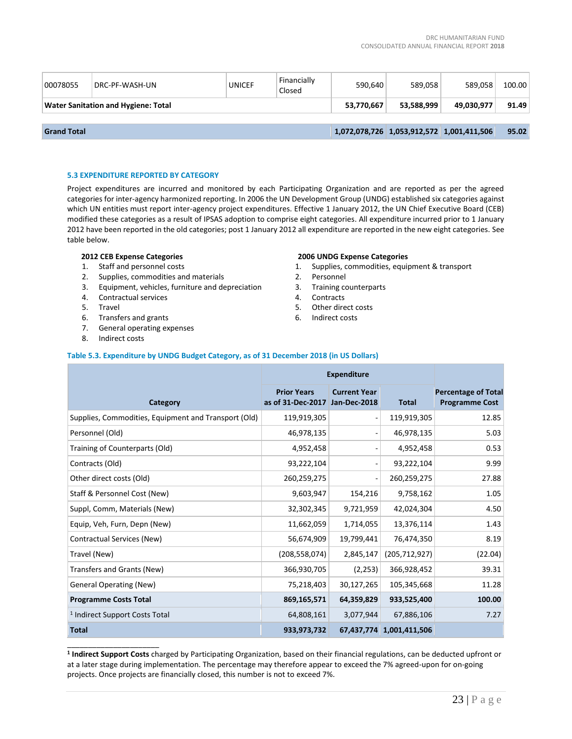| 00078055                                   | DRC-PF-WASH-UN | <b>UNICEF</b> | Financially<br>Closed | 590.640    | 589.058    | 589.058                                   | 100.00 |
|--------------------------------------------|----------------|---------------|-----------------------|------------|------------|-------------------------------------------|--------|
| <b>Water Sanitation and Hygiene: Total</b> |                |               | 53.770.667            | 53.588.999 | 49.030.977 | 91.49                                     |        |
|                                            |                |               |                       |            |            |                                           |        |
| <b>Grand Total</b>                         |                |               |                       |            |            | 1,072,078,726 1,053,912,572 1,001,411,506 | 95.02  |

# **5.3 EXPENDITURE REPORTED BY CATEGORY**

Project expenditures are incurred and monitored by each Participating Organization and are reported as per the agreed categories for inter-agency harmonized reporting. In 2006 the UN Development Group (UNDG) established six categories against which UN entities must report inter-agency project expenditures. Effective 1 January 2012, the UN Chief Executive Board (CEB) modified these categories as a result of IPSAS adoption to comprise eight categories. All expenditure incurred prior to 1 January 2012 have been reported in the old categories; post 1 January 2012 all expenditure are reported in the new eight categories. See table below.

# **2012 CEB Expense Categories**

- 1. Staff and personnel costs
- 2. Supplies, commodities and materials
- 3. Equipment, vehicles, furniture and depreciation

**Table 5.3. Expenditure by UNDG Budget Category, as of 31 December 2018 (in US Dollars)**

- 4. Contractual services
- 5. Travel
- 6. Transfers and grants
- 7. General operating expenses
- 8. Indirect costs

\_\_\_\_\_\_\_\_\_\_\_\_\_\_\_\_\_\_\_\_\_\_

# **2006 UNDG Expense Categories**

- 1. Supplies, commodities, equipment & transport
- 2. Personnel
- 3. Training counterparts
- 4. Contracts
- 5. Other direct costs
- 6. Indirect costs

|                                                      | <b>Expenditure</b>                      |                                     |                          |                                                     |
|------------------------------------------------------|-----------------------------------------|-------------------------------------|--------------------------|-----------------------------------------------------|
| Category                                             | <b>Prior Years</b><br>as of 31-Dec-2017 | <b>Current Year</b><br>Jan-Dec-2018 | <b>Total</b>             | <b>Percentage of Total</b><br><b>Programme Cost</b> |
| Supplies, Commodities, Equipment and Transport (Old) | 119,919,305                             |                                     | 119,919,305              | 12.85                                               |
| Personnel (Old)                                      | 46,978,135                              |                                     | 46,978,135               | 5.03                                                |
| Training of Counterparts (Old)                       | 4,952,458                               |                                     | 4,952,458                | 0.53                                                |
| Contracts (Old)                                      | 93,222,104                              |                                     | 93,222,104               | 9.99                                                |
| Other direct costs (Old)                             | 260,259,275                             |                                     | 260,259,275              | 27.88                                               |
| Staff & Personnel Cost (New)                         | 9,603,947                               | 154,216                             | 9,758,162                | 1.05                                                |
| Suppl, Comm, Materials (New)                         | 32,302,345                              | 9,721,959                           | 42,024,304               | 4.50                                                |
| Equip, Veh, Furn, Depn (New)                         | 11,662,059                              | 1,714,055                           | 13,376,114               | 1.43                                                |
| Contractual Services (New)                           | 56,674,909                              | 19,799,441                          | 76,474,350               | 8.19                                                |
| Travel (New)                                         | (208, 558, 074)                         | 2,845,147                           | (205, 712, 927)          | (22.04)                                             |
| Transfers and Grants (New)                           | 366,930,705                             | (2, 253)                            | 366,928,452              | 39.31                                               |
| <b>General Operating (New)</b>                       | 75,218,403                              | 30,127,265                          | 105,345,668              | 11.28                                               |
| <b>Programme Costs Total</b>                         | 869,165,571                             | 64,359,829                          | 933,525,400              | 100.00                                              |
| <sup>1</sup> Indirect Support Costs Total            | 64,808,161                              | 3,077,944                           | 67,886,106               | 7.27                                                |
| <b>Total</b>                                         | 933,973,732                             |                                     | 67,437,774 1,001,411,506 |                                                     |

# **1 Indirect Support Costs** charged by Participating Organization, based on their financial regulations, can be deducted upfront or at a later stage during implementation. The percentage may therefore appear to exceed the 7% agreed-upon for on-going projects. Once projects are financially closed, this number is not to exceed 7%.